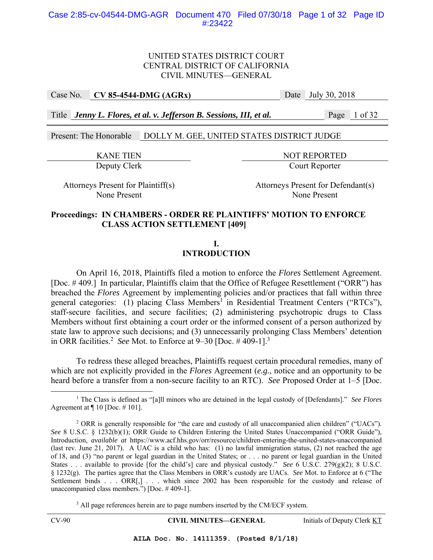## UNITED STATES DISTRICT COURT CENTRAL DISTRICT OF CALIFORNIA CIVIL MINUTES—GENERAL

Case No. **CV 85-4544-DMG (AGRx)** Date July 30, 2018

Title *Jenny L. Flores, et al. v. Jefferson B. Sessions, III, et al.* Page 1 of 32

Present: The Honorable DOLLY M. GEE, UNITED STATES DISTRICT JUDGE

KANE TIEN NOT REPORTED Deputy Clerk Court Reporter

Attorneys Present for Plaintiff(s) Attorneys Present for Defendant(s) None Present None Present

#### **Proceedings: IN CHAMBERS - ORDER RE PLAINTIFFS' MOTION TO ENFORCE CLASS ACTION SETTLEMENT [409]**

**I.** 

## **INTRODUCTION**

 On April 16, 2018, Plaintiffs filed a motion to enforce the *Flores* Settlement Agreement. [Doc. # 409.] In particular, Plaintiffs claim that the Office of Refugee Resettlement ("ORR") has breached the *Flores* Agreement by implementing policies and/or practices that fall within three general categories: (1) placing Class Members<sup>1</sup> in Residential Treatment Centers ("RTCs"), staff-secure facilities, and secure facilities; (2) administering psychotropic drugs to Class Members without first obtaining a court order or the informed consent of a person authorized by state law to approve such decisions; and (3) unnecessarily prolonging Class Members' detention in ORR facilities.<sup>2</sup> See Mot. to Enforce at  $9-30$  [Doc.  $\#$  409-1].<sup>3</sup>

To redress these alleged breaches, Plaintiffs request certain procedural remedies, many of which are not explicitly provided in the *Flores* Agreement (*e.g.*, notice and an opportunity to be heard before a transfer from a non-secure facility to an RTC). *See* Proposed Order at 1–5 [Doc.

<sup>3</sup> All page references herein are to page numbers inserted by the CM/ECF system.

CV-90 **CIVIL MINUTES—GENERAL** Initials of Deputy Clerk KT

<sup>&</sup>lt;u>1</u> The Class is defined as "[a]ll minors who are detained in the legal custody of [Defendants]." *See Flores* Agreement at  $\P$  10 [Doc. #101].

<sup>&</sup>lt;sup>2</sup> ORR is generally responsible for "the care and custody of all unaccompanied alien children" ("UACs"). *See* 8 U.S.C. § 1232(b)(1); ORR Guide to Children Entering the United States Unaccompanied ("ORR Guide"), Introduction, *available at* https://www.acf.hhs.gov/orr/resource/children-entering-the-united-states-unaccompanied (last rev. June 21, 2017). A UAC is a child who has: (1) no lawful immigration status, (2) not reached the age of 18, and (3) "no parent or legal guardian in the United States; or . . . no parent or legal guardian in the United States . . . available to provide [for the child's] care and physical custody." *See* 6 U.S.C. 279(g)(2); 8 U.S.C. § 1232(g). The parties agree that the Class Members in ORR's custody are UACs. *See* Mot. to Enforce at 6 ("The Settlement binds . . . ORR[,] . . . which since 2002 has been responsible for the custody and release of unaccompanied class members.") [Doc. # 409-1].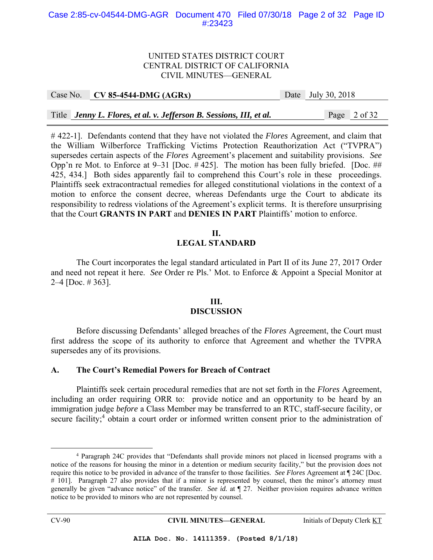#### Case 2:85-cv-04544-DMG-AGR Document 470 Filed 07/30/18 Page 2 of 32 Page ID #:23423

#### UNITED STATES DISTRICT COURT CENTRAL DISTRICT OF CALIFORNIA CIVIL MINUTES—GENERAL

| Case No. CV 85-4544-DMG (AGRx)                                      | Date July 30, 2018 |
|---------------------------------------------------------------------|--------------------|
|                                                                     |                    |
| Title Jenny L. Flores, et al. v. Jefferson B. Sessions, III, et al. | Page 2 of 32       |

# 422-1]. Defendants contend that they have not violated the *Flores* Agreement, and claim that the William Wilberforce Trafficking Victims Protection Reauthorization Act ("TVPRA") supersedes certain aspects of the *Flores* Agreement's placement and suitability provisions. *See* Opp'n re Mot. to Enforce at 9–31 [Doc. # 425]. The motion has been fully briefed. [Doc. ## 425, 434.] Both sides apparently fail to comprehend this Court's role in these proceedings. Plaintiffs seek extracontractual remedies for alleged constitutional violations in the context of a motion to enforce the consent decree, whereas Defendants urge the Court to abdicate its responsibility to redress violations of the Agreement's explicit terms. It is therefore unsurprising that the Court **GRANTS IN PART** and **DENIES IN PART** Plaintiffs' motion to enforce.

#### **II. LEGAL STANDARD**

The Court incorporates the legal standard articulated in Part II of its June 27, 2017 Order and need not repeat it here. *See* Order re Pls.' Mot. to Enforce & Appoint a Special Monitor at 2–4 [Doc. # 363].

## **III. DISCUSSION**

 Before discussing Defendants' alleged breaches of the *Flores* Agreement, the Court must first address the scope of its authority to enforce that Agreement and whether the TVPRA supersedes any of its provisions.

#### **A. The Court's Remedial Powers for Breach of Contract**

 Plaintiffs seek certain procedural remedies that are not set forth in the *Flores* Agreement, including an order requiring ORR to: provide notice and an opportunity to be heard by an immigration judge *before* a Class Member may be transferred to an RTC, staff-secure facility, or secure facility;<sup>4</sup> obtain a court order or informed written consent prior to the administration of

 $\begin{array}{c|c}\n\hline\n\end{array}$  Paragraph 24C provides that "Defendants shall provide minors not placed in licensed programs with a notice of the reasons for housing the minor in a detention or medium security facility," but the provision does not require this notice to be provided in advance of the transfer to those facilities. *See Flores* Agreement at ¶ 24C [Doc. # 101]. Paragraph 27 also provides that if a minor is represented by counsel, then the minor's attorney must generally be given "advance notice" of the transfer. *See id.* at ¶ 27. Neither provision requires advance written notice to be provided to minors who are not represented by counsel.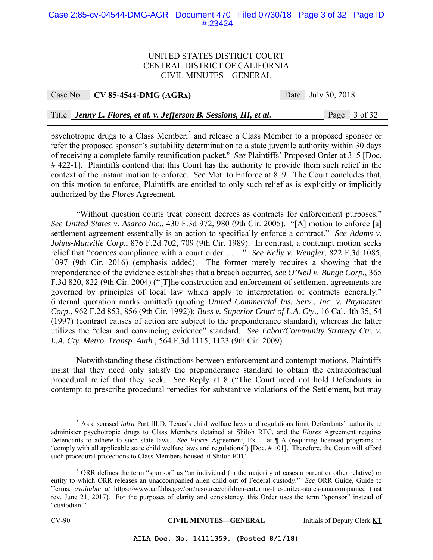#### Case 2:85-cv-04544-DMG-AGR Document 470 Filed 07/30/18 Page 3 of 32 Page ID #:23424

#### UNITED STATES DISTRICT COURT CENTRAL DISTRICT OF CALIFORNIA CIVIL MINUTES—GENERAL

| Case No. CV 85-4544-DMG (AGRx)                                      | Date July 30, 2018 |
|---------------------------------------------------------------------|--------------------|
|                                                                     |                    |
| Title Jenny L. Flores, et al. v. Jefferson B. Sessions, III, et al. | Page 3 of 32       |

psychotropic drugs to a Class Member;<sup>5</sup> and release a Class Member to a proposed sponsor or refer the proposed sponsor's suitability determination to a state juvenile authority within 30 days of receiving a complete family reunification packet.<sup>6</sup> See Plaintiffs' Proposed Order at 3–5 [Doc. # 422-1]. Plaintiffs contend that this Court has the authority to provide them such relief in the context of the instant motion to enforce. *See* Mot. to Enforce at 8–9. The Court concludes that, on this motion to enforce, Plaintiffs are entitled to only such relief as is explicitly or implicitly authorized by the *Flores* Agreement.

 "Without question courts treat consent decrees as contracts for enforcement purposes." *See United States v. Asarco Inc.*, 430 F.3d 972, 980 (9th Cir. 2005). "[A] motion to enforce [a] settlement agreement essentially is an action to specifically enforce a contract." *See Adams v. Johns-Manville Corp.*, 876 F.2d 702, 709 (9th Cir. 1989). In contrast, a contempt motion seeks relief that "*coerces* compliance with a court order . . . ." *See Kelly v. Wengler*, 822 F.3d 1085, 1097 (9th Cir. 2016) (emphasis added). The former merely requires a showing that the preponderance of the evidence establishes that a breach occurred, *see O'Neil v. Bunge Corp.*, 365 F.3d 820, 822 (9th Cir. 2004) ("[T]he construction and enforcement of settlement agreements are governed by principles of local law which apply to interpretation of contracts generally." (internal quotation marks omitted) (quoting *United Commercial Ins. Serv., Inc. v. Paymaster Corp.*, 962 F.2d 853, 856 (9th Cir. 1992)); *Buss v. Superior Court of L.A. Cty.*, 16 Cal. 4th 35, 54 (1997) (contract causes of action are subject to the preponderance standard), whereas the latter utilizes the "clear and convincing evidence" standard. *See Labor/Community Strategy Ctr. v. L.A. Cty. Metro. Transp. Auth.*, 564 F.3d 1115, 1123 (9th Cir. 2009).

 Notwithstanding these distinctions between enforcement and contempt motions, Plaintiffs insist that they need only satisfy the preponderance standard to obtain the extracontractual procedural relief that they seek. *See* Reply at 8 ("The Court need not hold Defendants in contempt to prescribe procedural remedies for substantive violations of the Settlement, but may

 $rac{1}{5}$ <sup>5</sup> As discussed *infra* Part III.D, Texas's child welfare laws and regulations limit Defendants' authority to administer psychotropic drugs to Class Members detained at Shiloh RTC, and the *Flores* Agreement requires Defendants to adhere to such state laws. *See Flores* Agreement, Ex. 1 at ¶ A (requiring licensed programs to "comply with all applicable state child welfare laws and regulations") [Doc. # 101]. Therefore, the Court will afford such procedural protections to Class Members housed at Shiloh RTC.

<sup>6</sup> ORR defines the term "sponsor" as "an individual (in the majority of cases a parent or other relative) or entity to which ORR releases an unaccompanied alien child out of Federal custody." *See* ORR Guide, Guide to Terms, *available at* https://www.acf.hhs.gov/orr/resource/children-entering-the-united-states-unaccompanied (last rev. June 21, 2017). For the purposes of clarity and consistency, this Order uses the term "sponsor" instead of "custodian."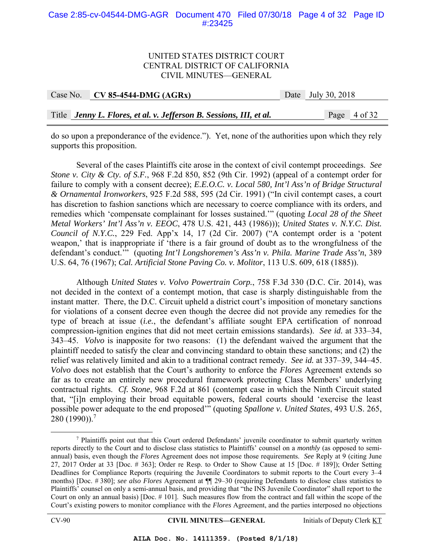#### Case 2:85-cv-04544-DMG-AGR Document 470 Filed 07/30/18 Page 4 of 32 Page ID #:23425

#### UNITED STATES DISTRICT COURT CENTRAL DISTRICT OF CALIFORNIA CIVIL MINUTES—GENERAL

| Case No. CV 85-4544-DMG $(AGRx)$                                    | Date July 30, 2018 |
|---------------------------------------------------------------------|--------------------|
|                                                                     |                    |
| Title Jenny L. Flores, et al. v. Jefferson B. Sessions, III, et al. | Page 4 of 32       |

do so upon a preponderance of the evidence."). Yet, none of the authorities upon which they rely supports this proposition.

Several of the cases Plaintiffs cite arose in the context of civil contempt proceedings. *See Stone v. City & Cty. of S.F.*, 968 F.2d 850, 852 (9th Cir. 1992) (appeal of a contempt order for failure to comply with a consent decree); *E.E.O.C. v. Local 580, Int'l Ass'n of Bridge Structural & Ornamental Ironworkers*, 925 F.2d 588, 595 (2d Cir. 1991) ("In civil contempt cases, a court has discretion to fashion sanctions which are necessary to coerce compliance with its orders, and remedies which 'compensate complainant for losses sustained.'" (quoting *Local 28 of the Sheet Metal Workers' Int'l Ass'n v. EEOC*, 478 U.S. 421, 443 (1986))); *United States v. N.Y.C. Dist. Council of N.Y.C.*, 229 Fed. App'x 14, 17 (2d Cir. 2007) ("A contempt order is a 'potent weapon,' that is inappropriate if 'there is a fair ground of doubt as to the wrongfulness of the defendant's conduct.'" (quoting *Int'l Longshoremen's Ass'n v. Phila. Marine Trade Ass'n*, 389 U.S. 64, 76 (1967); *Cal. Artificial Stone Paving Co. v. Molitor*, 113 U.S. 609, 618 (1885)).

Although *United States v. Volvo Powertrain Corp.*, 758 F.3d 330 (D.C. Cir. 2014), was not decided in the context of a contempt motion, that case is sharply distinguishable from the instant matter. There, the D.C. Circuit upheld a district court's imposition of monetary sanctions for violations of a consent decree even though the decree did not provide any remedies for the type of breach at issue (*i.e.*, the defendant's affiliate sought EPA certification of nonroad compression-ignition engines that did not meet certain emissions standards). *See id.* at 333–34, 343–45. *Volvo* is inapposite for two reasons: (1) the defendant waived the argument that the plaintiff needed to satisfy the clear and convincing standard to obtain these sanctions; and (2) the relief was relatively limited and akin to a traditional contract remedy. *See id.* at 337–39, 344–45. *Volvo* does not establish that the Court's authority to enforce the *Flores* Agreement extends so far as to create an entirely new procedural framework protecting Class Members' underlying contractual rights. *Cf. Stone*, 968 F.2d at 861 (contempt case in which the Ninth Circuit stated that, "[i]n employing their broad equitable powers, federal courts should 'exercise the least possible power adequate to the end proposed'" (quoting *Spallone v. United States*, 493 U.S. 265, 280 (1990)).7

 <sup>7</sup> <sup>7</sup> Plaintiffs point out that this Court ordered Defendants' juvenile coordinator to submit quarterly written reports directly to the Court and to disclose class statistics to Plaintiffs' counsel on a *monthly* (as opposed to semiannual) basis, even though the *Flores* Agreement does not impose those requirements. *See* Reply at 9 (citing June 27, 2017 Order at 33 [Doc. # 363]; Order re Resp. to Order to Show Cause at 15 [Doc. # 189]); Order Setting Deadlines for Compliance Reports (requiring the Juvenile Coordinators to submit reports to the Court every 3–4 months) [Doc. # 380]; *see also Flores* Agreement at ¶¶ 29–30 (requiring Defendants to disclose class statistics to Plaintiffs' counsel on only a semi-annual basis, and providing that "the INS Juvenile Coordinator" shall report to the Court on only an annual basis) [Doc. # 101]. Such measures flow from the contract and fall within the scope of the Court's existing powers to monitor compliance with the *Flores* Agreement, and the parties interposed no objections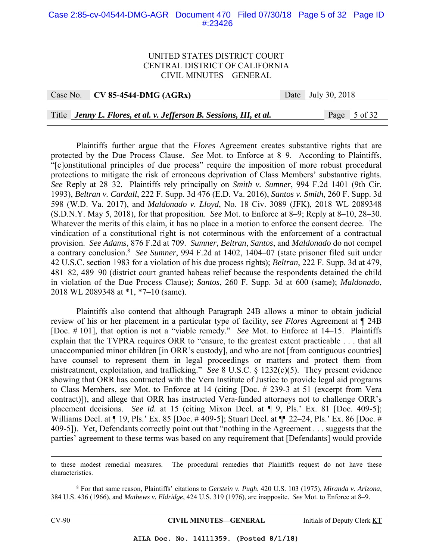#### Case 2:85-cv-04544-DMG-AGR Document 470 Filed 07/30/18 Page 5 of 32 Page ID #:23426

#### UNITED STATES DISTRICT COURT CENTRAL DISTRICT OF CALIFORNIA CIVIL MINUTES—GENERAL

| Case No. CV 85-4544-DMG (AGRx)                                      | Date July 30, 2018 |
|---------------------------------------------------------------------|--------------------|
|                                                                     |                    |
| Title Jenny L. Flores, et al. v. Jefferson B. Sessions, III, et al. | Page 5 of 32       |

Plaintiffs further argue that the *Flores* Agreement creates substantive rights that are protected by the Due Process Clause. *See* Mot. to Enforce at 8–9. According to Plaintiffs, "[c]onstitutional principles of due process" require the imposition of more robust procedural protections to mitigate the risk of erroneous deprivation of Class Members' substantive rights. *See* Reply at 28–32. Plaintiffs rely principally on *Smith v. Sumner*, 994 F.2d 1401 (9th Cir. 1993), *Beltran v. Cardall*, 222 F. Supp. 3d 476 (E.D. Va. 2016), *Santos v. Smith*, 260 F. Supp. 3d 598 (W.D. Va. 2017), and *Maldonado v. Lloyd*, No. 18 Civ. 3089 (JFK), 2018 WL 2089348 (S.D.N.Y. May 5, 2018), for that proposition. *See* Mot. to Enforce at 8–9; Reply at 8–10, 28–30. Whatever the merits of this claim, it has no place in a motion to enforce the consent decree. The vindication of a constitutional right is not coterminous with the enforcement of a contractual provision. *See Adams*, 876 F.2d at 709. *Sumner*, *Beltran*, *Santos*, and *Maldonado* do not compel a contrary conclusion.8 *See Sumner*, 994 F.2d at 1402, 1404–07 (state prisoner filed suit under 42 U.S.C. section 1983 for a violation of his due process rights); *Beltran*, 222 F. Supp. 3d at 479, 481–82, 489–90 (district court granted habeas relief because the respondents detained the child in violation of the Due Process Clause); *Santos*, 260 F. Supp. 3d at 600 (same); *Maldonado*, 2018 WL 2089348 at \*1, \*7–10 (same).

Plaintiffs also contend that although Paragraph 24B allows a minor to obtain judicial review of his or her placement in a particular type of facility, *see Flores* Agreement at ¶ 24B [Doc. # 101], that option is not a "viable remedy." *See* Mot. to Enforce at 14–15. Plaintiffs explain that the TVPRA requires ORR to "ensure, to the greatest extent practicable . . . that all unaccompanied minor children [in ORR's custody], and who are not [from contiguous countries] have counsel to represent them in legal proceedings or matters and protect them from mistreatment, exploitation, and trafficking." *See* 8 U.S.C. § 1232(c)(5). They present evidence showing that ORR has contracted with the Vera Institute of Justice to provide legal aid programs to Class Members, *see* Mot. to Enforce at 14 (citing [Doc. # 239-3 at 51 (excerpt from Vera contract)]), and allege that ORR has instructed Vera-funded attorneys not to challenge ORR's placement decisions. *See id.* at 15 (citing Mixon Decl. at ¶ 9, Pls.' Ex. 81 [Doc. 409-5]; Williams Decl. at ¶ 19, Pls.' Ex. 85 [Doc. # 409-5]; Stuart Decl. at ¶ 22–24, Pls.' Ex. 86 [Doc. # 409-5]). Yet, Defendants correctly point out that "nothing in the Agreement . . . suggests that the parties' agreement to these terms was based on any requirement that [Defendants] would provide

8 For that same reason, Plaintiffs' citations to *Gerstein v. Pugh*, 420 U.S. 103 (1975), *Miranda v. Arizona*, 384 U.S. 436 (1966), and *Mathews v. Eldridge*, 424 U.S. 319 (1976), are inapposite. *See* Mot. to Enforce at 8–9.

CV-90 **CIVIL MINUTES—GENERAL** Initials of Deputy Clerk KT

to these modest remedial measures. The procedural remedies that Plaintiffs request do not have these characteristics.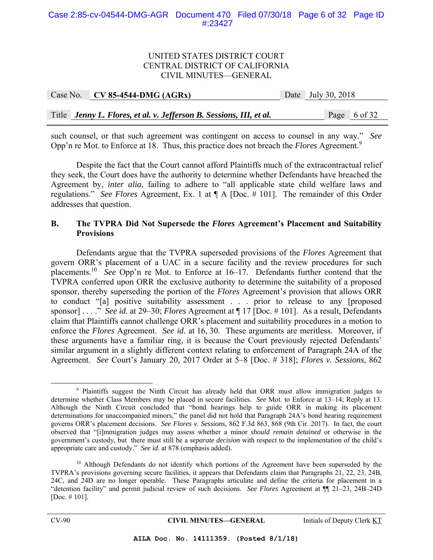#### Case 2:85-cv-04544-DMG-AGR Document 470 Filed 07/30/18 Page 6 of 32 Page ID #:23427

#### UNITED STATES DISTRICT COURT CENTRAL DISTRICT OF CALIFORNIA CIVIL MINUTES—GENERAL

|  | Case No. CV 85-4544-DMG (AGRx)                                      | Date July 30, 2018 |
|--|---------------------------------------------------------------------|--------------------|
|  |                                                                     |                    |
|  | Title Jenny L. Flores, et al. v. Jefferson B. Sessions, III, et al. | Page 6 of 32       |

such counsel, or that such agreement was contingent on access to counsel in any way." *See* Opp'n re Mot. to Enforce at 18. Thus, this practice does not breach the *Flores* Agreement.<sup>9</sup>

 Despite the fact that the Court cannot afford Plaintiffs much of the extracontractual relief they seek, the Court does have the authority to determine whether Defendants have breached the Agreement by, *inter alia*, failing to adhere to "all applicable state child welfare laws and regulations." *See Flores* Agreement, Ex. 1 at ¶ A [Doc. # 101]. The remainder of this Order addresses that question.

## **B. The TVPRA Did Not Supersede the** *Flores* **Agreement's Placement and Suitability Provisions**

 Defendants argue that the TVPRA superseded provisions of the *Flores* Agreement that govern ORR's placement of a UAC in a secure facility and the review procedures for such placements.10 *See* Opp'n re Mot. to Enforce at 16–17. Defendants further contend that the TVPRA conferred upon ORR the exclusive authority to determine the suitability of a proposed sponsor, thereby superseding the portion of the *Flores* Agreement's provision that allows ORR to conduct "[a] positive suitability assessment . . . prior to release to any [proposed sponsor] . . . ." *See id.* at 29–30; *Flores* Agreement at ¶ 17 [Doc. # 101]. As a result, Defendants claim that Plaintiffs cannot challenge ORR's placement and suitability procedures in a motion to enforce the *Flores* Agreement. *See id.* at 16, 30. These arguments are meritless. Moreover, if these arguments have a familiar ring, it is because the Court previously rejected Defendants' similar argument in a slightly different context relating to enforcement of Paragraph 24A of the Agreement. *See* Court's January 20, 2017 Order at 5–8 [Doc. # 318]; *Flores v. Sessions*, 862

 $\frac{1}{\sqrt{9}}$ <sup>9</sup> Plaintiffs suggest the Ninth Circuit has already held that ORR must allow immigration judges to determine whether Class Members may be placed in secure facilities. *See* Mot. to Enforce at 13–14; Reply at 13. Although the Ninth Circuit concluded that "bond hearings help to guide ORR in making its placement determinations for unaccompanied minors," the panel did not hold that Paragraph 24A's bond hearing requirement governs ORR's placement decisions. *See Flores v. Sessions*, 862 F.3d 863, 868 (9th Cir. 2017). In fact, the court observed that "[i]mmigration judges may assess whether a minor *should remain detained* or otherwise in the government's custody, but there must still be a *separate decision* with respect to the implementation of the child's appropriate care and custody." *See id.* at 878 (emphasis added).

<sup>&</sup>lt;sup>10</sup> Although Defendants do not identify which portions of the Agreement have been superseded by the TVPRA's provisions governing secure facilities, it appears that Defendants claim that Paragraphs 21, 22, 23, 24B, 24C, and 24D are no longer operable. These Paragraphs articulate and define the criteria for placement in a "detention facility" and permit judicial review of such decisions. *See Flores* Agreement at ¶¶ 21–23, 24B–24D [Doc. # 101].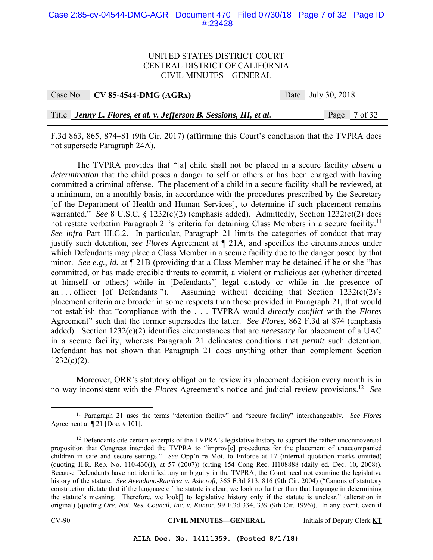#### Case 2:85-cv-04544-DMG-AGR Document 470 Filed 07/30/18 Page 7 of 32 Page ID #:23428

#### UNITED STATES DISTRICT COURT CENTRAL DISTRICT OF CALIFORNIA CIVIL MINUTES—GENERAL

| Case No. $\vert$ CV 85-4544-DMG (AGRx)                              | Date July 30, 2018 |
|---------------------------------------------------------------------|--------------------|
|                                                                     |                    |
| Title Jenny L. Flores, et al. v. Jefferson B. Sessions, III, et al. | Page 7 of 32       |

F.3d 863, 865, 874–81 (9th Cir. 2017) (affirming this Court's conclusion that the TVPRA does not supersede Paragraph 24A).

 The TVPRA provides that "[a] child shall not be placed in a secure facility *absent a determination* that the child poses a danger to self or others or has been charged with having committed a criminal offense. The placement of a child in a secure facility shall be reviewed, at a minimum, on a monthly basis, in accordance with the procedures prescribed by the Secretary [of the Department of Health and Human Services], to determine if such placement remains warranted." *See* 8 U.S.C. § 1232(c)(2) (emphasis added). Admittedly, Section 1232(c)(2) does not restate verbatim Paragraph 21's criteria for detaining Class Members in a secure facility.<sup>11</sup> *See infra* Part III.C.2. In particular, Paragraph 21 limits the categories of conduct that may justify such detention, *see Flores* Agreement at ¶ 21A, and specifies the circumstances under which Defendants may place a Class Member in a secure facility due to the danger posed by that minor. *See e.g.*, *id.* at ¶ 21B (providing that a Class Member may be detained if he or she "has committed, or has made credible threats to commit, a violent or malicious act (whether directed at himself or others) while in [Defendants'] legal custody or while in the presence of an ... officer [of Defendants]"). Assuming without deciding that Section  $1232(c)(2)$ 's placement criteria are broader in some respects than those provided in Paragraph 21, that would not establish that "compliance with the . . . TVPRA would *directly conflict* with the *Flores* Agreement" such that the former supersedes the latter. *See Flores*, 862 F.3d at 874 (emphasis added). Section 1232(c)(2) identifies circumstances that are *necessary* for placement of a UAC in a secure facility, whereas Paragraph 21 delineates conditions that *permit* such detention. Defendant has not shown that Paragraph 21 does anything other than complement Section  $1232(c)(2)$ .

Moreover, ORR's statutory obligation to review its placement decision every month is in no way inconsistent with the *Flores* Agreement's notice and judicial review provisions.12 *See*

 <sup>11</sup> Paragraph 21 uses the terms "detention facility" and "secure facility" interchangeably. *See Flores* Agreement at ¶ 21 [Doc. # 101].

<sup>&</sup>lt;sup>12</sup> Defendants cite certain excerpts of the TVPRA's legislative history to support the rather uncontroversial proposition that Congress intended the TVPRA to "improv[e] procedures for the placement of unaccompanied children in safe and secure settings." *See* Opp'n re Mot. to Enforce at 17 (internal quotation marks omitted) (quoting H.R. Rep. No. 110-430(I), at 57 (2007)) (citing 154 Cong Rec. H108888 (daily ed. Dec. 10, 2008)). Because Defendants have not identified any ambiguity in the TVPRA, the Court need not examine the legislative history of the statute. *See Avendano-Ramirez v. Ashcroft*, 365 F.3d 813, 816 (9th Cir. 2004) ("Canons of statutory construction dictate that if the language of the statute is clear, we look no further than that language in determining the statute's meaning. Therefore, we look[] to legislative history only if the statute is unclear." (alteration in original) (quoting *Ore. Nat. Res. Council, Inc. v. Kantor*, 99 F.3d 334, 339 (9th Cir. 1996)). In any event, even if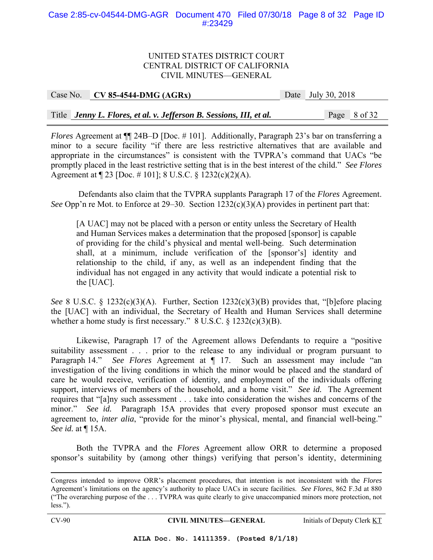#### Case 2:85-cv-04544-DMG-AGR Document 470 Filed 07/30/18 Page 8 of 32 Page ID #:23429

#### UNITED STATES DISTRICT COURT CENTRAL DISTRICT OF CALIFORNIA CIVIL MINUTES—GENERAL

| Case No. $\vert$ CV 85-4544-DMG (AGRx)                              | Date July 30, 2018 |
|---------------------------------------------------------------------|--------------------|
|                                                                     |                    |
| Title Jenny L. Flores, et al. v. Jefferson B. Sessions, III, et al. | Page 8 of 32       |

*Flores* Agreement at  $\P$  24B–D [Doc. # 101]. Additionally, Paragraph 23's bar on transferring a minor to a secure facility "if there are less restrictive alternatives that are available and appropriate in the circumstances" is consistent with the TVPRA's command that UACs "be promptly placed in the least restrictive setting that is in the best interest of the child." *See Flores* Agreement at ¶ 23 [Doc. # 101]; 8 U.S.C. § 1232(c)(2)(A).

 Defendants also claim that the TVPRA supplants Paragraph 17 of the *Flores* Agreement. *See* Opp'n re Mot. to Enforce at 29–30. Section 1232(c)(3)(A) provides in pertinent part that:

[A UAC] may not be placed with a person or entity unless the Secretary of Health and Human Services makes a determination that the proposed [sponsor] is capable of providing for the child's physical and mental well-being. Such determination shall, at a minimum, include verification of the [sponsor's] identity and relationship to the child, if any, as well as an independent finding that the individual has not engaged in any activity that would indicate a potential risk to the [UAC].

*See* 8 U.S.C. § 1232(c)(3)(A). Further, Section 1232(c)(3)(B) provides that, "[b]efore placing the [UAC] with an individual, the Secretary of Health and Human Services shall determine whether a home study is first necessary." 8 U.S.C. § 1232(c)(3)(B).

Likewise, Paragraph 17 of the Agreement allows Defendants to require a "positive suitability assessment . . . prior to the release to any individual or program pursuant to Paragraph 14." *See Flores* Agreement at ¶ 17. Such an assessment may include "an investigation of the living conditions in which the minor would be placed and the standard of care he would receive, verification of identity, and employment of the individuals offering support, interviews of members of the household, and a home visit." *See id.* The Agreement requires that "[a]ny such assessment . . . take into consideration the wishes and concerns of the minor." *See id.* Paragraph 15A provides that every proposed sponsor must execute an agreement to, *inter alia*, "provide for the minor's physical, mental, and financial well-being." *See id.* at ¶ 15A.

Both the TVPRA and the *Flores* Agreement allow ORR to determine a proposed sponsor's suitability by (among other things) verifying that person's identity, determining

Congress intended to improve ORR's placement procedures, that intention is not inconsistent with the *Flores* Agreement's limitations on the agency's authority to place UACs in secure facilities. *See Flores*, 862 F.3d at 880 ("The overarching purpose of the . . . TVPRA was quite clearly to give unaccompanied minors more protection, not less.").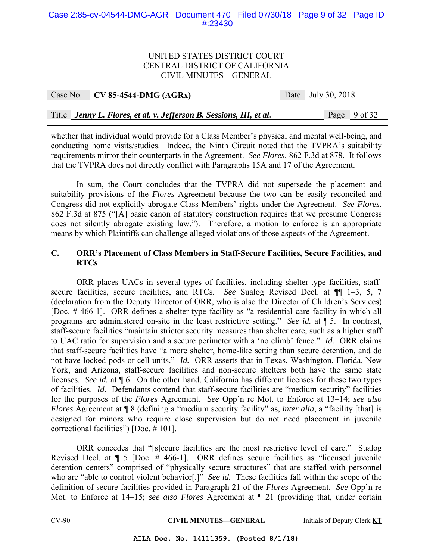#### Case 2:85-cv-04544-DMG-AGR Document 470 Filed 07/30/18 Page 9 of 32 Page ID #:23430

#### UNITED STATES DISTRICT COURT CENTRAL DISTRICT OF CALIFORNIA CIVIL MINUTES—GENERAL

| Case No. | $CV 85-4544-DMG (AGRx)$                                             | Date July 30, 2018 |
|----------|---------------------------------------------------------------------|--------------------|
|          |                                                                     |                    |
|          | Title Jenny L. Flores, et al. v. Jefferson B. Sessions, III, et al. | Page 9 of 32       |

whether that individual would provide for a Class Member's physical and mental well-being, and conducting home visits/studies. Indeed, the Ninth Circuit noted that the TVPRA's suitability requirements mirror their counterparts in the Agreement. *See Flores*, 862 F.3d at 878. It follows that the TVPRA does not directly conflict with Paragraphs 15A and 17 of the Agreement.

 In sum, the Court concludes that the TVPRA did not supersede the placement and suitability provisions of the *Flores* Agreement because the two can be easily reconciled and Congress did not explicitly abrogate Class Members' rights under the Agreement. *See Flores*, 862 F.3d at 875 ("[A] basic canon of statutory construction requires that we presume Congress does not silently abrogate existing law."). Therefore, a motion to enforce is an appropriate means by which Plaintiffs can challenge alleged violations of those aspects of the Agreement.

## **C. ORR's Placement of Class Members in Staff-Secure Facilities, Secure Facilities, and RTCs**

ORR places UACs in several types of facilities, including shelter-type facilities, staffsecure facilities, secure facilities, and RTCs. *See* Sualog Revised Decl. at ¶¶ 1–3, 5, 7 (declaration from the Deputy Director of ORR, who is also the Director of Children's Services) [Doc. # 466-1]. ORR defines a shelter-type facility as "a residential care facility in which all programs are administered on-site in the least restrictive setting." *See id.* at ¶ 5. In contrast, staff-secure facilities "maintain stricter security measures than shelter care, such as a higher staff to UAC ratio for supervision and a secure perimeter with a 'no climb' fence." *Id.* ORR claims that staff-secure facilities have "a more shelter, home-like setting than secure detention, and do not have locked pods or cell units." *Id.* ORR asserts that in Texas, Washington, Florida, New York, and Arizona, staff-secure facilities and non-secure shelters both have the same state licenses. *See id.* at ¶ 6. On the other hand, California has different licenses for these two types of facilities. *Id.* Defendants contend that staff-secure facilities are "medium security" facilities for the purposes of the *Flores* Agreement. *See* Opp'n re Mot. to Enforce at 13–14; *see also Flores* Agreement at  $\P$  8 (defining a "medium security facility" as, *inter alia*, a "facility [that] is designed for minors who require close supervision but do not need placement in juvenile correctional facilities") [Doc. # 101].

 ORR concedes that "[s]ecure facilities are the most restrictive level of care." Sualog Revised Decl. at ¶ 5 [Doc. # 466-1]. ORR defines secure facilities as "licensed juvenile detention centers" comprised of "physically secure structures" that are staffed with personnel who are "able to control violent behavior<sup>[1]</sup>. *See id.* These facilities fall within the scope of the definition of secure facilities provided in Paragraph 21 of the *Flores* Agreement. *See* Opp'n re Mot. to Enforce at 14–15; *see also Flores* Agreement at ¶ 21 (providing that, under certain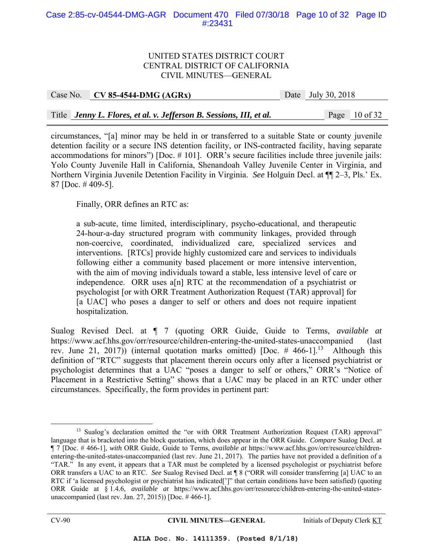#### Case 2:85-cv-04544-DMG-AGR Document 470 Filed 07/30/18 Page 10 of 32 Page ID #:23431

#### UNITED STATES DISTRICT COURT CENTRAL DISTRICT OF CALIFORNIA CIVIL MINUTES—GENERAL

| Case No. CV 85-4544-DMG $(AGRx)$                                    | Date July 30, 2018 |                 |
|---------------------------------------------------------------------|--------------------|-----------------|
|                                                                     |                    |                 |
| Title Jenny L. Flores, et al. v. Jefferson B. Sessions, III, et al. |                    | Page $10$ of 32 |

circumstances, "[a] minor may be held in or transferred to a suitable State or county juvenile detention facility or a secure INS detention facility, or INS-contracted facility, having separate accommodations for minors") [Doc. # 101]. ORR's secure facilities include three juvenile jails: Yolo County Juvenile Hall in California, Shenandoah Valley Juvenile Center in Virginia, and Northern Virginia Juvenile Detention Facility in Virginia. *See* Holguín Decl. at ¶¶ 2–3, Pls.' Ex. 87 [Doc. # 409-5].

Finally, ORR defines an RTC as:

a sub-acute, time limited, interdisciplinary, psycho-educational, and therapeutic 24-hour-a-day structured program with community linkages, provided through non-coercive, coordinated, individualized care, specialized services and interventions. [RTCs] provide highly customized care and services to individuals following either a community based placement or more intensive intervention, with the aim of moving individuals toward a stable, less intensive level of care or independence. ORR uses a[n] RTC at the recommendation of a psychiatrist or psychologist [or with ORR Treatment Authorization Request (TAR) approval] for [a UAC] who poses a danger to self or others and does not require inpatient hospitalization.

Sualog Revised Decl. at ¶ 7 (quoting ORR Guide, Guide to Terms, *available at* https://www.acf.hhs.gov/orr/resource/children-entering-the-united-states-unaccompanied (last rev. June 21, 2017)) (internal quotation marks omitted) [Doc.  $\#$  466-1]<sup>13</sup> Although this definition of "RTC" suggests that placement therein occurs only after a licensed psychiatrist or psychologist determines that a UAC "poses a danger to self or others," ORR's "Notice of Placement in a Restrictive Setting" shows that a UAC may be placed in an RTC under other circumstances. Specifically, the form provides in pertinent part:

<sup>&</sup>lt;sup>13</sup> Sualog's declaration omitted the "or with ORR Treatment Authorization Request (TAR) approval" language that is bracketed into the block quotation, which does appear in the ORR Guide. *Compare* Sualog Decl. at ¶ 7 [Doc. # 466-1], *with* ORR Guide, Guide to Terms, *available at* https://www.acf.hhs.gov/orr/resource/childrenentering-the-united-states-unaccompanied (last rev. June 21, 2017). The parties have not provided a definition of a "TAR." In any event, it appears that a TAR must be completed by a licensed psychologist or psychiatrist before ORR transfers a UAC to an RTC. *See* Sualog Revised Decl. at ¶ 8 ("ORR will consider transferring [a] UAC to an RTC if 'a licensed psychologist or psychiatrist has indicated[']" that certain conditions have been satisfied) (quoting ORR Guide at § 1.4.6, *available at* https://www.acf.hhs.gov/orr/resource/children-entering-the-united-statesunaccompanied (last rev. Jan. 27, 2015)) [Doc. # 466-1].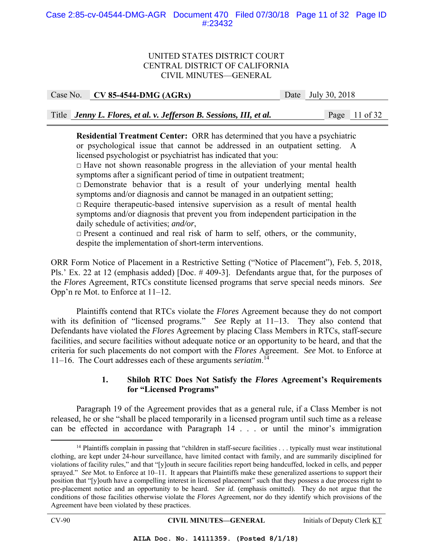#### Case 2:85-cv-04544-DMG-AGR Document 470 Filed 07/30/18 Page 11 of 32 Page ID #:23432

#### UNITED STATES DISTRICT COURT CENTRAL DISTRICT OF CALIFORNIA CIVIL MINUTES—GENERAL

Case No. **CV 85-4544-DMG (AGRx)** Date July 30, 2018

Title *Jenny L. Flores, et al. v. Jefferson B. Sessions, III, et al.* Page 11 of 32

**Residential Treatment Center:** ORR has determined that you have a psychiatric or psychological issue that cannot be addressed in an outpatient setting. A licensed psychologist or psychiatrist has indicated that you:

 $\Box$  Have not shown reasonable progress in the alleviation of your mental health symptoms after a significant period of time in outpatient treatment;

 $\Box$  Demonstrate behavior that is a result of your underlying mental health symptoms and/or diagnosis and cannot be managed in an outpatient setting;

 $\Box$  Require therapeutic-based intensive supervision as a result of mental health symptoms and/or diagnosis that prevent you from independent participation in the daily schedule of activities; *and/or*,

 $\Box$  Present a continued and real risk of harm to self, others, or the community, despite the implementation of short-term interventions.

ORR Form Notice of Placement in a Restrictive Setting ("Notice of Placement"), Feb. 5, 2018, Pls.' Ex. 22 at 12 (emphasis added) [Doc. #409-3]. Defendants argue that, for the purposes of the *Flores* Agreement, RTCs constitute licensed programs that serve special needs minors. *See* Opp'n re Mot. to Enforce at 11–12.

 Plaintiffs contend that RTCs violate the *Flores* Agreement because they do not comport with its definition of "licensed programs." *See* Reply at 11–13. They also contend that Defendants have violated the *Flores* Agreement by placing Class Members in RTCs, staff-secure facilities, and secure facilities without adequate notice or an opportunity to be heard, and that the criteria for such placements do not comport with the *Flores* Agreement. *See* Mot. to Enforce at 11–16. The Court addresses each of these arguments *seriatim*. 14

#### **1. Shiloh RTC Does Not Satisfy the** *Flores* **Agreement's Requirements for "Licensed Programs"**

 Paragraph 19 of the Agreement provides that as a general rule, if a Class Member is not released, he or she "shall be placed temporarily in a licensed program until such time as a release can be effected in accordance with Paragraph 14 . . . or until the minor's immigration

<sup>&</sup>lt;sup>14</sup> Plaintiffs complain in passing that "children in staff-secure facilities . . . typically must wear institutional clothing, are kept under 24-hour surveillance, have limited contact with family, and are summarily disciplined for violations of facility rules," and that "[y]outh in secure facilities report being handcuffed, locked in cells, and pepper sprayed." *See* Mot. to Enforce at 10–11. It appears that Plaintiffs make these generalized assertions to support their position that "[y]outh have a compelling interest in licensed placement" such that they possess a due process right to pre-placement notice and an opportunity to be heard. *See id.* (emphasis omitted). They do not argue that the conditions of those facilities otherwise violate the *Flores* Agreement, nor do they identify which provisions of the Agreement have been violated by these practices.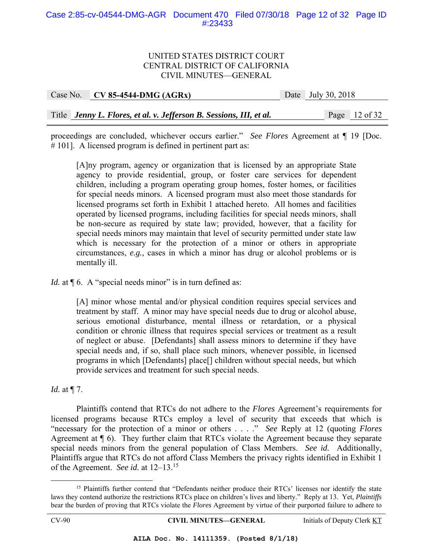#### Case 2:85-cv-04544-DMG-AGR Document 470 Filed 07/30/18 Page 12 of 32 Page ID #:23433

#### UNITED STATES DISTRICT COURT CENTRAL DISTRICT OF CALIFORNIA CIVIL MINUTES—GENERAL

| Case No. CV 85-4544-DMG (AGRx)                                      | Date July 30, 2018 |
|---------------------------------------------------------------------|--------------------|
|                                                                     |                    |
| Title Jenny L. Flores, et al. v. Jefferson B. Sessions, III, et al. | Page $12$ of 32    |

proceedings are concluded, whichever occurs earlier." *See Flores* Agreement at ¶ 19 [Doc. # 101]. A licensed program is defined in pertinent part as:

[A]ny program, agency or organization that is licensed by an appropriate State agency to provide residential, group, or foster care services for dependent children, including a program operating group homes, foster homes, or facilities for special needs minors. A licensed program must also meet those standards for licensed programs set forth in Exhibit 1 attached hereto. All homes and facilities operated by licensed programs, including facilities for special needs minors, shall be non-secure as required by state law; provided, however, that a facility for special needs minors may maintain that level of security permitted under state law which is necessary for the protection of a minor or others in appropriate circumstances, *e.g.*, cases in which a minor has drug or alcohol problems or is mentally ill.

*Id.* at  $\P$  6. A "special needs minor" is in turn defined as:

[A] minor whose mental and/or physical condition requires special services and treatment by staff. A minor may have special needs due to drug or alcohol abuse, serious emotional disturbance, mental illness or retardation, or a physical condition or chronic illness that requires special services or treatment as a result of neglect or abuse. [Defendants] shall assess minors to determine if they have special needs and, if so, shall place such minors, whenever possible, in licensed programs in which [Defendants] place[] children without special needs, but which provide services and treatment for such special needs.

*Id.* at ¶ 7.

 Plaintiffs contend that RTCs do not adhere to the *Flores* Agreement's requirements for licensed programs because RTCs employ a level of security that exceeds that which is "necessary for the protection of a minor or others . . . ." *See* Reply at 12 (quoting *Flores* Agreement at ¶ 6). They further claim that RTCs violate the Agreement because they separate special needs minors from the general population of Class Members. *See id.* Additionally, Plaintiffs argue that RTCs do not afford Class Members the privacy rights identified in Exhibit 1 of the Agreement. *See id.* at 12–13.15

<sup>&</sup>lt;sup>15</sup> Plaintiffs further contend that "Defendants neither produce their RTCs' licenses nor identify the state laws they contend authorize the restrictions RTCs place on children's lives and liberty." Reply at 13. Yet, *Plaintiffs* bear the burden of proving that RTCs violate the *Flores* Agreement by virtue of their purported failure to adhere to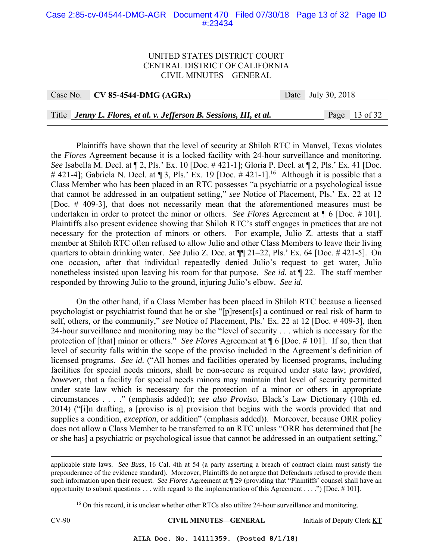#### Case 2:85-cv-04544-DMG-AGR Document 470 Filed 07/30/18 Page 13 of 32 Page ID #:23434

#### UNITED STATES DISTRICT COURT CENTRAL DISTRICT OF CALIFORNIA CIVIL MINUTES—GENERAL

Case No. **CV 85-4544-DMG (AGRx)** Date July 30, 2018 Title *Jenny L. Flores, et al. v. Jefferson B. Sessions, III, et al.* Page 13 of 32

Plaintiffs have shown that the level of security at Shiloh RTC in Manvel, Texas violates the *Flores* Agreement because it is a locked facility with 24-hour surveillance and monitoring. *See* Isabella M. Decl. at ¶ 2, Pls.' Ex. 10 [Doc. # 421-1]; Gloria P. Decl. at ¶ 2, Pls.' Ex. 41 [Doc. # 421-4]; Gabriela N. Decl. at  $\P$  3, Pls.' Ex. 19 [Doc. # 421-1].<sup>16</sup> Although it is possible that a Class Member who has been placed in an RTC possesses "a psychiatric or a psychological issue that cannot be addressed in an outpatient setting," *see* Notice of Placement, Pls.' Ex. 22 at 12 [Doc. # 409-3], that does not necessarily mean that the aforementioned measures must be undertaken in order to protect the minor or others. *See Flores* Agreement at ¶ 6 [Doc. # 101]. Plaintiffs also present evidence showing that Shiloh RTC's staff engages in practices that are not necessary for the protection of minors or others. For example, Julio Z. attests that a staff member at Shiloh RTC often refused to allow Julio and other Class Members to leave their living quarters to obtain drinking water. *See* Julio Z. Dec. at ¶¶ 21–22, Pls.' Ex. 64 [Doc. # 421-5]. On one occasion, after that individual repeatedly denied Julio's request to get water, Julio nonetheless insisted upon leaving his room for that purpose. *See id.* at ¶ 22. The staff member responded by throwing Julio to the ground, injuring Julio's elbow. *See id.*

On the other hand, if a Class Member has been placed in Shiloh RTC because a licensed psychologist or psychiatrist found that he or she "[p]resent[s] a continued or real risk of harm to self, others, or the community," *see* Notice of Placement, Pls.' Ex. 22 at 12 [Doc. # 409-3], then 24-hour surveillance and monitoring may be the "level of security . . . which is necessary for the protection of [that] minor or others." *See Flores* Agreement at ¶ 6 [Doc. # 101]. If so, then that level of security falls within the scope of the proviso included in the Agreement's definition of licensed programs. *See id.* ("All homes and facilities operated by licensed programs, including facilities for special needs minors, shall be non-secure as required under state law; *provided, however*, that a facility for special needs minors may maintain that level of security permitted under state law which is necessary for the protection of a minor or others in appropriate circumstances . . . ." (emphasis added)); *see also Proviso*, Black's Law Dictionary (10th ed. 2014) ("[i]n drafting, a [proviso is a] provision that begins with the words provided that and supplies a condition, *exception*, or addition" (emphasis added)). Moreover, because ORR policy does not allow a Class Member to be transferred to an RTC unless "ORR has determined that [he or she has] a psychiatric or psychological issue that cannot be addressed in an outpatient setting,"

 applicable state laws. *See Buss*, 16 Cal. 4th at 54 (a party asserting a breach of contract claim must satisfy the preponderance of the evidence standard). Moreover, Plaintiffs do not argue that Defendants refused to provide them such information upon their request. *See Flores* Agreement at ¶ 29 (providing that "Plaintiffs' counsel shall have an opportunity to submit questions  $\dots$  with regard to the implementation of this Agreement  $\dots$ .") [Doc. #101].

<sup>16</sup> On this record, it is unclear whether other RTCs also utilize 24-hour surveillance and monitoring.

CV-90 **CIVIL MINUTES—GENERAL** Initials of Deputy Clerk KT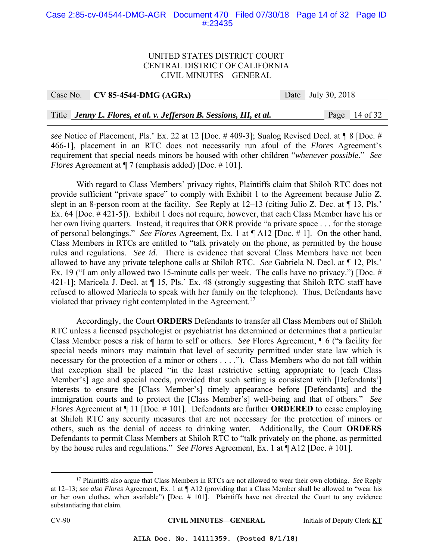#### Case 2:85-cv-04544-DMG-AGR Document 470 Filed 07/30/18 Page 14 of 32 Page ID #:23435

#### UNITED STATES DISTRICT COURT CENTRAL DISTRICT OF CALIFORNIA CIVIL MINUTES—GENERAL

| Case No. CV 85-4544-DMG $(AGRx)$ | Date July 30, 2018 |
|----------------------------------|--------------------|
|                                  |                    |

Title *Jenny L. Flores, et al. v. Jefferson B. Sessions, III, et al.* Page 14 of 32

*see* Notice of Placement, Pls.' Ex. 22 at 12 [Doc. # 409-3]; Sualog Revised Decl. at ¶ 8 [Doc. # 466-1], placement in an RTC does not necessarily run afoul of the *Flores* Agreement's requirement that special needs minors be housed with other children "*whenever possible*." *See Flores* Agreement at  $\P$  7 (emphasis added) [Doc. #101].

 With regard to Class Members' privacy rights, Plaintiffs claim that Shiloh RTC does not provide sufficient "private space" to comply with Exhibit 1 to the Agreement because Julio Z. slept in an 8-person room at the facility. *See* Reply at 12–13 (citing Julio Z. Dec. at ¶ 13, Pls.' Ex. 64 [Doc. # 421-5]). Exhibit 1 does not require, however, that each Class Member have his or her own living quarters. Instead, it requires that ORR provide "a private space . . . for the storage of personal belongings." *See Flores* Agreement, Ex. 1 at ¶ A12 [Doc. # 1]. On the other hand, Class Members in RTCs are entitled to "talk privately on the phone, as permitted by the house rules and regulations. *See id.* There is evidence that several Class Members have not been allowed to have any private telephone calls at Shiloh RTC. *See* Gabriela N. Decl. at ¶ 12, Pls.' Ex. 19 ("I am only allowed two 15-minute calls per week. The calls have no privacy.") [Doc. # 421-1]; Maricela J. Decl. at  $\P$  15, Pls.' Ex. 48 (strongly suggesting that Shiloh RTC staff have refused to allowed Maricela to speak with her family on the telephone). Thus, Defendants have violated that privacy right contemplated in the Agreement.<sup>17</sup>

 Accordingly, the Court **ORDERS** Defendants to transfer all Class Members out of Shiloh RTC unless a licensed psychologist or psychiatrist has determined or determines that a particular Class Member poses a risk of harm to self or others. *See* Flores Agreement, ¶ 6 ("a facility for special needs minors may maintain that level of security permitted under state law which is necessary for the protection of a minor or others . . . ."). Class Members who do not fall within that exception shall be placed "in the least restrictive setting appropriate to [each Class Member's] age and special needs, provided that such setting is consistent with [Defendants'] interests to ensure the [Class Member's] timely appearance before [Defendants] and the immigration courts and to protect the [Class Member's] well-being and that of others." *See Flores* Agreement at  $\P$  11 [Doc. # 101]. Defendants are further **ORDERED** to cease employing at Shiloh RTC any security measures that are not necessary for the protection of minors or others, such as the denial of access to drinking water. Additionally, the Court **ORDERS** Defendants to permit Class Members at Shiloh RTC to "talk privately on the phone, as permitted by the house rules and regulations." *See Flores* Agreement, Ex. 1 at ¶ A12 [Doc. # 101].

 <sup>17</sup> Plaintiffs also argue that Class Members in RTCs are not allowed to wear their own clothing. *See* Reply at 12–13; *see also Flores* Agreement, Ex. 1 at ¶ A12 (providing that a Class Member shall be allowed to "wear his or her own clothes, when available") [Doc. # 101]. Plaintiffs have not directed the Court to any evidence substantiating that claim.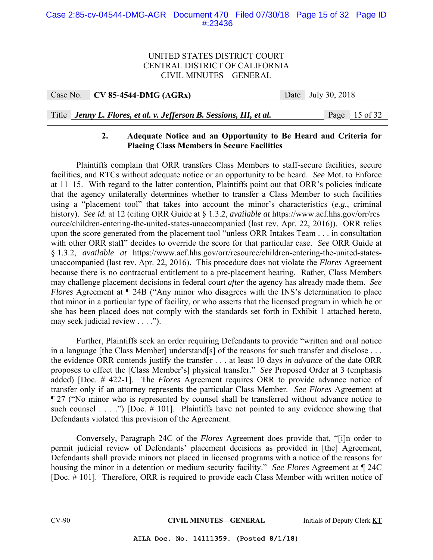## UNITED STATES DISTRICT COURT CENTRAL DISTRICT OF CALIFORNIA CIVIL MINUTES—GENERAL

| Case No. $\vert$ CV 85-4544-DMG (AGRx) | Date July 30, 2018 |
|----------------------------------------|--------------------|
|                                        |                    |

# Title *Jenny L. Flores, et al. v. Jefferson B. Sessions, III, et al.* Page 15 of 32

## **2. Adequate Notice and an Opportunity to Be Heard and Criteria for Placing Class Members in Secure Facilities**

 Plaintiffs complain that ORR transfers Class Members to staff-secure facilities, secure facilities, and RTCs without adequate notice or an opportunity to be heard. *See* Mot. to Enforce at 11–15. With regard to the latter contention, Plaintiffs point out that ORR's policies indicate that the agency unilaterally determines whether to transfer a Class Member to such facilities using a "placement tool" that takes into account the minor's characteristics (*e.g.*, criminal history). *See id.* at 12 (citing ORR Guide at § 1.3.2, *available at* https://www.acf.hhs.gov/orr/res ource/children-entering-the-united-states-unaccompanied (last rev. Apr. 22, 2016)). ORR relies upon the score generated from the placement tool "unless ORR Intakes Team . . . in consultation with other ORR staff" decides to override the score for that particular case. *See* ORR Guide at § 1.3.2, *available at* https://www.acf.hhs.gov/orr/resource/children-entering-the-united-statesunaccompanied (last rev. Apr. 22, 2016). This procedure does not violate the *Flores* Agreement because there is no contractual entitlement to a pre-placement hearing. Rather, Class Members may challenge placement decisions in federal court *after* the agency has already made them. *See Flores* Agreement at  $\P$  24B ("Any minor who disagrees with the INS's determination to place that minor in a particular type of facility, or who asserts that the licensed program in which he or she has been placed does not comply with the standards set forth in Exhibit 1 attached hereto, may seek judicial review . . . .").

 Further, Plaintiffs seek an order requiring Defendants to provide "written and oral notice in a language [the Class Member] understand[s] of the reasons for such transfer and disclose . . . the evidence ORR contends justify the transfer . . . at least 10 days *in advance* of the date ORR proposes to effect the [Class Member's] physical transfer." *See* Proposed Order at 3 (emphasis added) [Doc. # 422-1]. The *Flores* Agreement requires ORR to provide advance notice of transfer only if an attorney represents the particular Class Member. *See Flores* Agreement at ¶ 27 ("No minor who is represented by counsel shall be transferred without advance notice to such counsel . . . .") [Doc.  $\#$  101]. Plaintiffs have not pointed to any evidence showing that Defendants violated this provision of the Agreement.

 Conversely, Paragraph 24C of the *Flores* Agreement does provide that, "[i]n order to permit judicial review of Defendants' placement decisions as provided in [the] Agreement, Defendants shall provide minors not placed in licensed programs with a notice of the reasons for housing the minor in a detention or medium security facility." *See Flores* Agreement at ¶ 24C [Doc. # 101]. Therefore, ORR is required to provide each Class Member with written notice of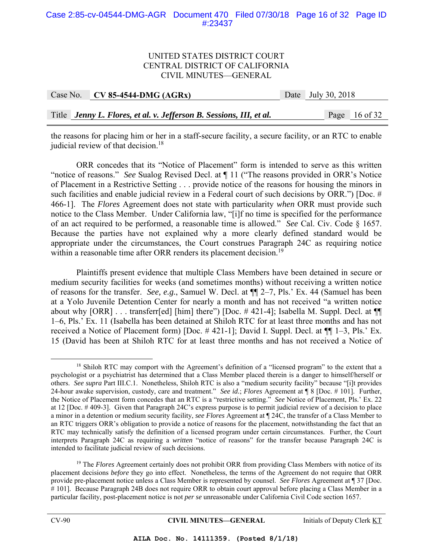#### Case 2:85-cv-04544-DMG-AGR Document 470 Filed 07/30/18 Page 16 of 32 Page ID #:23437

#### UNITED STATES DISTRICT COURT CENTRAL DISTRICT OF CALIFORNIA CIVIL MINUTES—GENERAL

| Case No. CV 85-4544-DMG $(AGRx)$                                    | Date July 30, 2018 |                 |
|---------------------------------------------------------------------|--------------------|-----------------|
|                                                                     |                    |                 |
| Title Jenny L. Flores, et al. v. Jefferson B. Sessions, III, et al. |                    | Page $16$ of 32 |

the reasons for placing him or her in a staff-secure facility, a secure facility, or an RTC to enable judicial review of that decision.<sup>18</sup>

ORR concedes that its "Notice of Placement" form is intended to serve as this written "notice of reasons." *See* Sualog Revised Decl. at ¶ 11 ("The reasons provided in ORR's Notice of Placement in a Restrictive Setting . . . provide notice of the reasons for housing the minors in such facilities and enable judicial review in a Federal court of such decisions by ORR.") [Doc. # 466-1]. The *Flores* Agreement does not state with particularity *when* ORR must provide such notice to the Class Member. Under California law, "[i]f no time is specified for the performance of an act required to be performed, a reasonable time is allowed." *See* Cal. Civ. Code § 1657. Because the parties have not explained why a more clearly defined standard would be appropriate under the circumstances, the Court construes Paragraph 24C as requiring notice within a reasonable time after ORR renders its placement decision.<sup>19</sup>

 Plaintiffs present evidence that multiple Class Members have been detained in secure or medium security facilities for weeks (and sometimes months) without receiving a written notice of reasons for the transfer. *See, e.g.*, Samuel W. Decl. at ¶¶ 2–7, Pls.' Ex. 44 (Samuel has been at a Yolo Juvenile Detention Center for nearly a month and has not received "a written notice about why [ORR] . . . transferr[ed] [him] there") [Doc. #421-4]; Isabella M. Suppl. Decl. at  $\P$ 1–6, Pls.' Ex. 11 (Isabella has been detained at Shiloh RTC for at least three months and has not received a Notice of Placement form) [Doc. # 421-1]; David I. Suppl. Decl. at ¶¶ 1–3, Pls.' Ex. 15 (David has been at Shiloh RTC for at least three months and has not received a Notice of

<sup>&</sup>lt;sup>18</sup> Shiloh RTC may comport with the Agreement's definition of a "licensed program" to the extent that a psychologist or a psychiatrist has determined that a Class Member placed therein is a danger to himself/herself or others. *See supra* Part III.C.1. Nonetheless, Shiloh RTC is also a "medium security facility" because "[i]t provides 24-hour awake supervision, custody, care and treatment." *See id.*; *Flores* Agreement at ¶ 8 [Doc. # 101]. Further, the Notice of Placement form concedes that an RTC is a "restrictive setting." *See* Notice of Placement, Pls.' Ex. 22 at 12 [Doc. # 409-3]. Given that Paragraph 24C's express purpose is to permit judicial review of a decision to place a minor in a detention or medium security facility, *see Flores* Agreement at ¶ 24C, the transfer of a Class Member to an RTC triggers ORR's obligation to provide a notice of reasons for the placement, notwithstanding the fact that an RTC may technically satisfy the definition of a licensed program under certain circumstances. Further, the Court interprets Paragraph 24C as requiring a *written* "notice of reasons" for the transfer because Paragraph 24C is intended to facilitate judicial review of such decisions.

<sup>&</sup>lt;sup>19</sup> The *Flores* Agreement certainly does not prohibit ORR from providing Class Members with notice of its placement decisions *before* they go into effect. Nonetheless, the terms of the Agreement do not require that ORR provide pre-placement notice unless a Class Member is represented by counsel. *See Flores* Agreement at ¶ 37 [Doc. # 101]. Because Paragraph 24B does not require ORR to obtain court approval before placing a Class Member in a particular facility, post-placement notice is not *per se* unreasonable under California Civil Code section 1657.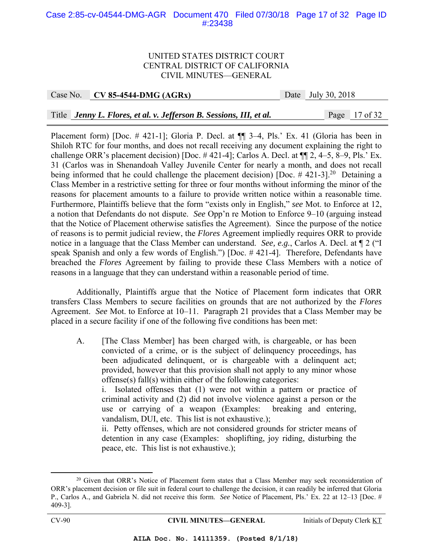#### Case 2:85-cv-04544-DMG-AGR Document 470 Filed 07/30/18 Page 17 of 32 Page ID #:23438

#### UNITED STATES DISTRICT COURT CENTRAL DISTRICT OF CALIFORNIA CIVIL MINUTES—GENERAL

Case No. **CV 85-4544-DMG (AGRx)** Date July 30, 2018

Title *Jenny L. Flores, et al. v. Jefferson B. Sessions, III, et al.* Page 17 of 32

Placement form) [Doc. # 421-1]; Gloria P. Decl. at  $\P$   $\overline{3}$  -4, Pls.' Ex. 41 (Gloria has been in Shiloh RTC for four months, and does not recall receiving any document explaining the right to challenge ORR's placement decision) [Doc. # 421-4]; Carlos A. Decl. at ¶¶ 2, 4–5, 8–9, Pls.' Ex. 31 (Carlos was in Shenandoah Valley Juvenile Center for nearly a month, and does not recall being informed that he could challenge the placement decision) [Doc.  $\#$  421-3].<sup>20</sup> Detaining a Class Member in a restrictive setting for three or four months without informing the minor of the reasons for placement amounts to a failure to provide written notice within a reasonable time. Furthermore, Plaintiffs believe that the form "exists only in English," *see* Mot. to Enforce at 12, a notion that Defendants do not dispute. *See* Opp'n re Motion to Enforce 9–10 (arguing instead that the Notice of Placement otherwise satisfies the Agreement). Since the purpose of the notice of reasons is to permit judicial review, the *Flores* Agreement impliedly requires ORR to provide notice in a language that the Class Member can understand. *See, e.g.*, Carlos A. Decl. at ¶ 2 ("I speak Spanish and only a few words of English.") [Doc. # 421-4]. Therefore, Defendants have breached the *Flores* Agreement by failing to provide these Class Members with a notice of reasons in a language that they can understand within a reasonable period of time.

 Additionally, Plaintiffs argue that the Notice of Placement form indicates that ORR transfers Class Members to secure facilities on grounds that are not authorized by the *Flores* Agreement. *See* Mot. to Enforce at 10–11. Paragraph 21 provides that a Class Member may be placed in a secure facility if one of the following five conditions has been met:

A. [The Class Member] has been charged with, is chargeable, or has been convicted of a crime, or is the subject of delinquency proceedings, has been adjudicated delinquent, or is chargeable with a delinquent act; provided, however that this provision shall not apply to any minor whose offense(s) fall(s) within either of the following categories:

 i. Isolated offenses that (1) were not within a pattern or practice of criminal activity and (2) did not involve violence against a person or the use or carrying of a weapon (Examples: breaking and entering, vandalism, DUI, etc. This list is not exhaustive.);

 ii. Petty offenses, which are not considered grounds for stricter means of detention in any case (Examples: shoplifting, joy riding, disturbing the peace, etc. This list is not exhaustive.);

<sup>&</sup>lt;sup>20</sup> Given that ORR's Notice of Placement form states that a Class Member may seek reconsideration of ORR's placement decision or file suit in federal court to challenge the decision, it can readily be inferred that Gloria P., Carlos A., and Gabriela N. did not receive this form. *See* Notice of Placement, Pls.' Ex. 22 at 12–13 [Doc. # 409-3].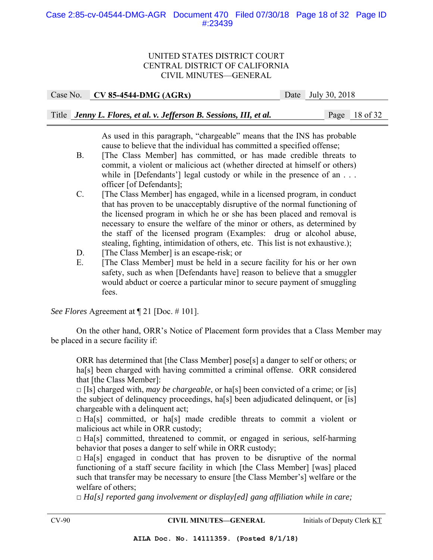#### Case 2:85-cv-04544-DMG-AGR Document 470 Filed 07/30/18 Page 18 of 32 Page ID #:23439

#### UNITED STATES DISTRICT COURT CENTRAL DISTRICT OF CALIFORNIA CIVIL MINUTES—GENERAL

Case No. **CV 85-4544-DMG (AGRx)** Date July 30, 2018

|  | Title Jenny L. Flores, et al. v. Jefferson B. Sessions, III, et al. |  |  |  |  |
|--|---------------------------------------------------------------------|--|--|--|--|
|--|---------------------------------------------------------------------|--|--|--|--|

Page 18 of 32

 As used in this paragraph, "chargeable" means that the INS has probable cause to believe that the individual has committed a specified offense;

- B. [The Class Member] has committed, or has made credible threats to commit, a violent or malicious act (whether directed at himself or others) while in [Defendants'] legal custody or while in the presence of an . . . officer [of Defendants];
- C. [The Class Member] has engaged, while in a licensed program, in conduct that has proven to be unacceptably disruptive of the normal functioning of the licensed program in which he or she has been placed and removal is necessary to ensure the welfare of the minor or others, as determined by the staff of the licensed program (Examples: drug or alcohol abuse, stealing, fighting, intimidation of others, etc. This list is not exhaustive.);
- D. [The Class Member] is an escape-risk; or
- E. [The Class Member] must be held in a secure facility for his or her own safety, such as when [Defendants have] reason to believe that a smuggler would abduct or coerce a particular minor to secure payment of smuggling fees.

*See Flores* Agreement at ¶ 21 [Doc. # 101].

 On the other hand, ORR's Notice of Placement form provides that a Class Member may be placed in a secure facility if:

ORR has determined that [the Class Member] pose[s] a danger to self or others; or ha<sup>[s]</sup> been charged with having committed a criminal offense. ORR considered that [the Class Member]:

 $\Box$  [Is] charged with, *may be chargeable*, or ha<sup>[s]</sup> been convicted of a crime; or [is] the subject of delinquency proceedings, ha[s] been adjudicated delinquent, or [is] chargeable with a delinquent act;

 $\Box$  Ha[s] committed, or ha[s] made credible threats to commit a violent or malicious act while in ORR custody;

 $\Box$  Ha[s] committed, threatened to commit, or engaged in serious, self-harming behavior that poses a danger to self while in ORR custody;

 $\Box$  Ha[s] engaged in conduct that has proven to be disruptive of the normal functioning of a staff secure facility in which [the Class Member] [was] placed such that transfer may be necessary to ensure [the Class Member's] welfare or the welfare of others;

□ *Ha[s] reported gang involvement or display[ed] gang affiliation while in care;*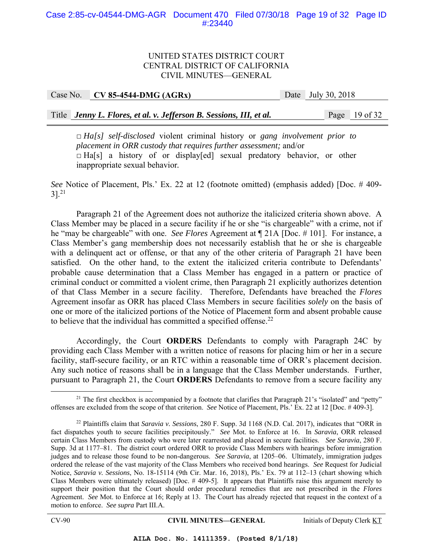## UNITED STATES DISTRICT COURT CENTRAL DISTRICT OF CALIFORNIA CIVIL MINUTES—GENERAL

Case No. **CV 85-4544-DMG (AGRx)** Date July 30, 2018

Title *Jenny L. Flores, et al. v. Jefferson B. Sessions, III, et al.* Page 19 of 32

□ *Ha[s] self-disclosed* violent criminal history or *gang involvement prior to placement in ORR custody that requires further assessment;* and/or  $\Box$  Ha[s] a history of or display[ed] sexual predatory behavior, or other inappropriate sexual behavior*.*

*See* Notice of Placement, Pls.' Ex. 22 at 12 (footnote omitted) (emphasis added) [Doc. # 409-  $3$ ].<sup>21</sup>

Paragraph 21 of the Agreement does not authorize the italicized criteria shown above. A Class Member may be placed in a secure facility if he or she "is chargeable" with a crime, not if he "may be chargeable" with one. *See Flores* Agreement at ¶ 21A [Doc. # 101]. For instance, a Class Member's gang membership does not necessarily establish that he or she is chargeable with a delinquent act or offense, or that any of the other criteria of Paragraph 21 have been satisfied. On the other hand, to the extent the italicized criteria contribute to Defendants' probable cause determination that a Class Member has engaged in a pattern or practice of criminal conduct or committed a violent crime, then Paragraph 21 explicitly authorizes detention of that Class Member in a secure facility. Therefore, Defendants have breached the *Flores* Agreement insofar as ORR has placed Class Members in secure facilities *solely* on the basis of one or more of the italicized portions of the Notice of Placement form and absent probable cause to believe that the individual has committed a specified offense. $^{22}$ 

Accordingly, the Court **ORDERS** Defendants to comply with Paragraph 24C by providing each Class Member with a written notice of reasons for placing him or her in a secure facility, staff-secure facility, or an RTC within a reasonable time of ORR's placement decision. Any such notice of reasons shall be in a language that the Class Member understands. Further, pursuant to Paragraph 21, the Court **ORDERS** Defendants to remove from a secure facility any

<sup>&</sup>lt;sup>21</sup> The first checkbox is accompanied by a footnote that clarifies that Paragraph 21's "isolated" and "petty" offenses are excluded from the scope of that criterion. *See* Notice of Placement, Pls.' Ex. 22 at 12 [Doc. # 409-3].

<sup>22</sup> Plaintiffs claim that *Saravia v. Sessions*, 280 F. Supp. 3d 1168 (N.D. Cal. 2017), indicates that "ORR in fact dispatches youth to secure facilities precipitously." *See* Mot. to Enforce at 16. In *Saravia*, ORR released certain Class Members from custody who were later rearrested and placed in secure facilities. *See Saravia*, 280 F. Supp. 3d at 1177–81. The district court ordered ORR to provide Class Members with hearings before immigration judges and to release those found to be non-dangerous. *See Saravia*, at 1205–06. Ultimately, immigration judges ordered the release of the vast majority of the Class Members who received bond hearings. *See* Request for Judicial Notice, *Saravia v. Sessions*, No. 18-15114 (9th Cir. Mar. 16, 2018), Pls.' Ex. 79 at 112–13 (chart showing which Class Members were ultimately released) [Doc. # 409-5]. It appears that Plaintiffs raise this argument merely to support their position that the Court should order procedural remedies that are not prescribed in the *Flores* Agreement. *See* Mot. to Enforce at 16; Reply at 13. The Court has already rejected that request in the context of a motion to enforce. *See supra* Part III.A.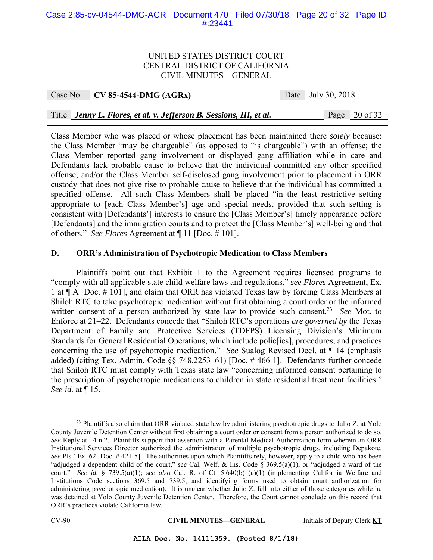#### Case 2:85-cv-04544-DMG-AGR Document 470 Filed 07/30/18 Page 20 of 32 Page ID #:23441

#### UNITED STATES DISTRICT COURT CENTRAL DISTRICT OF CALIFORNIA CIVIL MINUTES—GENERAL

| Case No. | $CV 85-4544-DMG (AGRx)$                                             | Date July 30, 2018 |                 |
|----------|---------------------------------------------------------------------|--------------------|-----------------|
|          |                                                                     |                    |                 |
|          | Title Jenny L. Flores, et al. v. Jefferson B. Sessions, III, et al. |                    | Page $20$ of 32 |

Class Member who was placed or whose placement has been maintained there *solely* because: the Class Member "may be chargeable" (as opposed to "is chargeable") with an offense; the Class Member reported gang involvement or displayed gang affiliation while in care and Defendants lack probable cause to believe that the individual committed any other specified offense; and/or the Class Member self-disclosed gang involvement prior to placement in ORR custody that does not give rise to probable cause to believe that the individual has committed a specified offense. All such Class Members shall be placed "in the least restrictive setting appropriate to [each Class Member's] age and special needs, provided that such setting is consistent with [Defendants'] interests to ensure the [Class Member's] timely appearance before [Defendants] and the immigration courts and to protect the [Class Member's] well-being and that of others." *See Flores* Agreement at ¶ 11 [Doc. # 101].

### **D. ORR's Administration of Psychotropic Medication to Class Members**

 Plaintiffs point out that Exhibit 1 to the Agreement requires licensed programs to "comply with all applicable state child welfare laws and regulations," *see Flores* Agreement, Ex. 1 at ¶ A [Doc. # 101], and claim that ORR has violated Texas law by forcing Class Members at Shiloh RTC to take psychotropic medication without first obtaining a court order or the informed written consent of a person authorized by state law to provide such consent.<sup>23</sup> *See* Mot. to Enforce at 21–22. Defendants concede that "Shiloh RTC's operations *are governed by* the Texas Department of Family and Protective Services (TDFPS) Licensing Division's Minimum Standards for General Residential Operations, which include polic[ies], procedures, and practices concerning the use of psychotropic medication." *See* Sualog Revised Decl. at ¶ 14 (emphasis added) (citing Tex. Admin. Code §§ 748.2253–61) [Doc. # 466-1]. Defendants further concede that Shiloh RTC must comply with Texas state law "concerning informed consent pertaining to the prescription of psychotropic medications to children in state residential treatment facilities." *See id.* at ¶ 15.

<sup>&</sup>lt;sup>23</sup> Plaintiffs also claim that ORR violated state law by administering psychotropic drugs to Julio Z. at Yolo County Juvenile Detention Center without first obtaining a court order or consent from a person authorized to do so. *See* Reply at 14 n.2. Plaintiffs support that assertion with a Parental Medical Authorization form wherein an ORR Institutional Services Director authorized the administration of multiple psychotropic drugs, including Depakote. *See* Pls.' Ex. 62 [Doc. #421-5]. The authorities upon which Plaintiffs rely, however, apply to a child who has been "adjudged a dependent child of the court," *see* Cal. Welf. & Ins. Code § 369.5(a)(1), or "adjudged a ward of the court." *See id.* § 739.5(a)(1); *see also* Cal. R. of Ct. 5.640(b)–(c)(1) (implementing California Welfare and Institutions Code sections 369.5 and 739.5, and identifying forms used to obtain court authorization for administering psychotropic medication). It is unclear whether Julio Z. fell into either of those categories while he was detained at Yolo County Juvenile Detention Center. Therefore, the Court cannot conclude on this record that ORR's practices violate California law.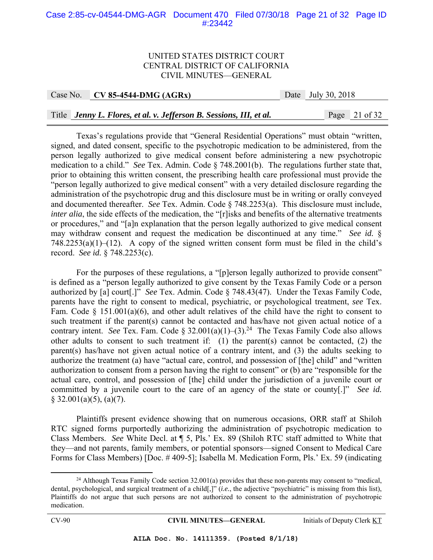#### Case 2:85-cv-04544-DMG-AGR Document 470 Filed 07/30/18 Page 21 of 32 Page ID #:23442

#### UNITED STATES DISTRICT COURT CENTRAL DISTRICT OF CALIFORNIA CIVIL MINUTES—GENERAL

Case No. **CV 85-4544-DMG (AGRx)** Date July 30, 2018

#### Title *Jenny L. Flores, et al. v. Jefferson B. Sessions, III, et al.* Page 21 of 32

Texas's regulations provide that "General Residential Operations" must obtain "written, signed, and dated consent, specific to the psychotropic medication to be administered, from the person legally authorized to give medical consent before administering a new psychotropic medication to a child." *See* Tex. Admin. Code § 748.2001(b). The regulations further state that, prior to obtaining this written consent, the prescribing health care professional must provide the "person legally authorized to give medical consent" with a very detailed disclosure regarding the administration of the psychotropic drug and this disclosure must be in writing or orally conveyed and documented thereafter. *See* Tex. Admin. Code § 748.2253(a). This disclosure must include, *inter alia*, the side effects of the medication, the "[r]isks and benefits of the alternative treatments or procedures," and "[a]n explanation that the person legally authorized to give medical consent may withdraw consent and request the medication be discontinued at any time." *See id.* §  $748.2253(a)(1)–(12)$ . A copy of the signed written consent form must be filed in the child's record. *See id.* § 748.2253(c).

For the purposes of these regulations, a "[p]erson legally authorized to provide consent" is defined as a "person legally authorized to give consent by the Texas Family Code or a person authorized by [a] court[.]" *See* Tex. Admin. Code § 748.43(47). Under the Texas Family Code, parents have the right to consent to medical, psychiatric, or psychological treatment, *see* Tex. Fam. Code  $\S$  151.001(a)(6), and other adult relatives of the child have the right to consent to such treatment if the parent(s) cannot be contacted and has/have not given actual notice of a contrary intent. *See* Tex. Fam. Code  $\S 32.001(a)(1)-(3).^{24}$  The Texas Family Code also allows other adults to consent to such treatment if: (1) the parent(s) cannot be contacted, (2) the parent(s) has/have not given actual notice of a contrary intent, and (3) the adults seeking to authorize the treatment (a) have "actual care, control, and possession of [the] child" and "written authorization to consent from a person having the right to consent" or (b) are "responsible for the actual care, control, and possession of [the] child under the jurisdiction of a juvenile court or committed by a juvenile court to the care of an agency of the state or county[.]" *See id.*  $\S$  32.001(a)(5), (a)(7).

 Plaintiffs present evidence showing that on numerous occasions, ORR staff at Shiloh RTC signed forms purportedly authorizing the administration of psychotropic medication to Class Members. *See* White Decl. at ¶ 5, Pls.' Ex. 89 (Shiloh RTC staff admitted to White that they—and not parents, family members, or potential sponsors—signed Consent to Medical Care Forms for Class Members) [Doc. # 409-5]; Isabella M. Medication Form, Pls.' Ex. 59 (indicating

<sup>&</sup>lt;sup>24</sup> Although Texas Family Code section  $32.001(a)$  provides that these non-parents may consent to "medical, dental, psychological, and surgical treatment of a child[,]" (*i.e.*, the adjective "psychiatric" is missing from this list), Plaintiffs do not argue that such persons are not authorized to consent to the administration of psychotropic medication.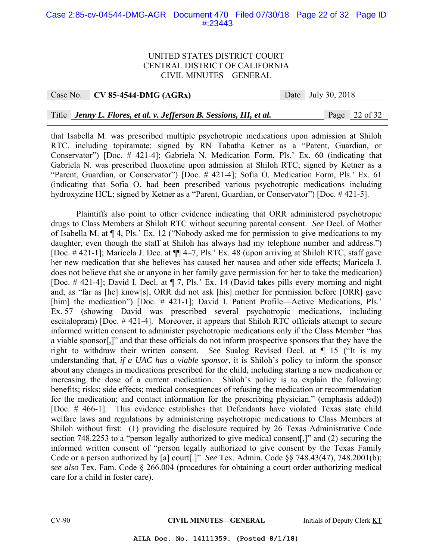#### Case 2:85-cv-04544-DMG-AGR Document 470 Filed 07/30/18 Page 22 of 32 Page ID #:23443

#### UNITED STATES DISTRICT COURT CENTRAL DISTRICT OF CALIFORNIA CIVIL MINUTES—GENERAL

#### Case No. **CV 85-4544-DMG (AGRx)** Date July 30, 2018

#### Title *Jenny L. Flores, et al. v. Jefferson B. Sessions, III, et al.* Page 22 of 32

that Isabella M. was prescribed multiple psychotropic medications upon admission at Shiloh RTC, including topiramate; signed by RN Tabatha Ketner as a "Parent, Guardian, or Conservator") [Doc. # 421-4]; Gabriela N. Medication Form, Pls.' Ex. 60 (indicating that Gabriela N. was prescribed fluoxetine upon admission at Shiloh RTC; signed by Ketner as a "Parent, Guardian, or Conservator") [Doc. # 421-4]; Sofia O. Medication Form, Pls.' Ex. 61 (indicating that Sofia O. had been prescribed various psychotropic medications including hydroxyzine HCL; signed by Ketner as a "Parent, Guardian, or Conservator") [Doc. # 421-5].

Plaintiffs also point to other evidence indicating that ORR administered psychotropic drugs to Class Members at Shiloh RTC without securing parental consent. *See* Decl. of Mother of Isabella M. at ¶ 4, Pls.' Ex. 12 ("Nobody asked me for permission to give medications to my daughter, even though the staff at Shiloh has always had my telephone number and address.") [Doc. # 421-1]; Maricela J. Dec. at ¶¶ 4–7, Pls.' Ex. 48 (upon arriving at Shiloh RTC, staff gave her new medication that she believes has caused her nausea and other side effects; Maricela J. does not believe that she or anyone in her family gave permission for her to take the medication) [Doc. # 421-4]; David I. Decl. at ¶ 7, Pls.' Ex. 14 (David takes pills every morning and night and, as "far as [he] know[s], ORR did not ask [his] mother for permission before [ORR] gave [him] the medication") [Doc. # 421-1]; David I. Patient Profile—Active Medications, Pls.' Ex. 57 (showing David was prescribed several psychotropic medications, including escitalopram) [Doc. # 421-4]. Moreover, it appears that Shiloh RTC officials attempt to secure informed written consent to administer psychotropic medications only if the Class Member "has a viable sponsor[,]" and that these officials do not inform prospective sponsors that they have the right to withdraw their written consent. *See* Sualog Revised Decl. at ¶ 15 ("It is my understanding that, *if a UAC has a viable sponsor*, it is Shiloh's policy to inform the sponsor about any changes in medications prescribed for the child, including starting a new medication or increasing the dose of a current medication. Shiloh's policy is to explain the following: benefits; risks; side effects; medical consequences of refusing the medication or recommendation for the medication; and contact information for the prescribing physician." (emphasis added)) [Doc. # 466-1]. This evidence establishes that Defendants have violated Texas state child welfare laws and regulations by administering psychotropic medications to Class Members at Shiloh without first: (1) providing the disclosure required by 26 Texas Administrative Code section 748.2253 to a "person legally authorized to give medical consent[,]" and (2) securing the informed written consent of "person legally authorized to give consent by the Texas Family Code or a person authorized by [a] court[.]" *See* Tex. Admin. Code §§ 748.43(47), 748.2001(b); *see also* Tex. Fam. Code § 266.004 (procedures for obtaining a court order authorizing medical care for a child in foster care).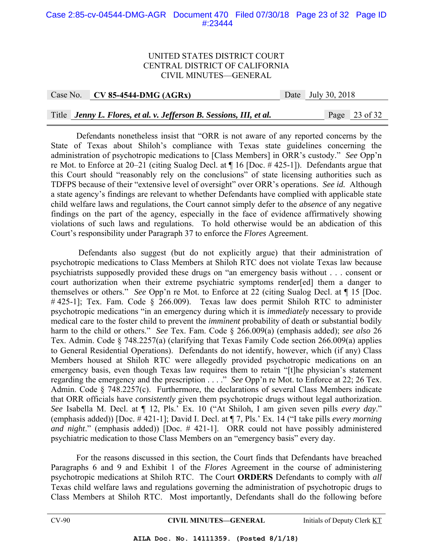#### Case 2:85-cv-04544-DMG-AGR Document 470 Filed 07/30/18 Page 23 of 32 Page ID #:23444

#### UNITED STATES DISTRICT COURT CENTRAL DISTRICT OF CALIFORNIA CIVIL MINUTES—GENERAL

Case No. **CV 85-4544-DMG (AGRx)** Date July 30, 2018

Title *Jenny L. Flores, et al. v. Jefferson B. Sessions, III, et al.* Page 23 of 32

 Defendants nonetheless insist that "ORR is not aware of any reported concerns by the State of Texas about Shiloh's compliance with Texas state guidelines concerning the administration of psychotropic medications to [Class Members] in ORR's custody." *See* Opp'n re Mot. to Enforce at 20–21 (citing Sualog Decl. at ¶ 16 [Doc. # 425-1]). Defendants argue that this Court should "reasonably rely on the conclusions" of state licensing authorities such as TDFPS because of their "extensive level of oversight" over ORR's operations. *See id.* Although a state agency's findings are relevant to whether Defendants have complied with applicable state child welfare laws and regulations, the Court cannot simply defer to the *absence* of any negative findings on the part of the agency, especially in the face of evidence affirmatively showing violations of such laws and regulations. To hold otherwise would be an abdication of this Court's responsibility under Paragraph 37 to enforce the *Flores* Agreement.

 Defendants also suggest (but do not explicitly argue) that their administration of psychotropic medications to Class Members at Shiloh RTC does not violate Texas law because psychiatrists supposedly provided these drugs on "an emergency basis without . . . consent or court authorization when their extreme psychiatric symptoms render[ed] them a danger to themselves or others." *See* Opp'n re Mot. to Enforce at 22 (citing Sualog Decl. at ¶ 15 [Doc. #425-1]; Tex. Fam. Code § 266.009). Texas law does permit Shiloh RTC to administer psychotropic medications "in an emergency during which it is *immediately* necessary to provide medical care to the foster child to prevent the *imminent* probability of death or substantial bodily harm to the child or others." *See* Tex. Fam. Code § 266.009(a) (emphasis added); *see also* 26 Tex. Admin. Code § 748.2257(a) (clarifying that Texas Family Code section 266.009(a) applies to General Residential Operations). Defendants do not identify, however, which (if any) Class Members housed at Shiloh RTC were allegedly provided psychotropic medications on an emergency basis, even though Texas law requires them to retain "[t]he physician's statement regarding the emergency and the prescription . . . ." *See* Opp'n re Mot. to Enforce at 22; 26 Tex. Admin. Code § 748.2257(c). Furthermore, the declarations of several Class Members indicate that ORR officials have *consistently* given them psychotropic drugs without legal authorization. *See* Isabella M. Decl. at ¶ 12, Pls.' Ex. 10 ("At Shiloh, I am given seven pills *every day*." (emphasis added)) [Doc. # 421-1]; David I. Decl. at ¶ 7, Pls.' Ex. 14 ("I take pills *every morning and night*." (emphasis added)) [Doc. # 421-1]. ORR could not have possibly administered psychiatric medication to those Class Members on an "emergency basis" every day.

 For the reasons discussed in this section, the Court finds that Defendants have breached Paragraphs 6 and 9 and Exhibit 1 of the *Flores* Agreement in the course of administering psychotropic medications at Shiloh RTC. The Court **ORDERS** Defendants to comply with *all* Texas child welfare laws and regulations governing the administration of psychotropic drugs to Class Members at Shiloh RTC. Most importantly, Defendants shall do the following before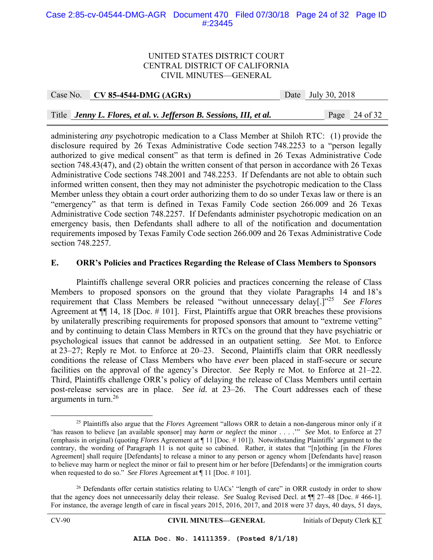#### Case 2:85-cv-04544-DMG-AGR Document 470 Filed 07/30/18 Page 24 of 32 Page ID #:23445

#### UNITED STATES DISTRICT COURT CENTRAL DISTRICT OF CALIFORNIA CIVIL MINUTES—GENERAL

Case No. **CV 85-4544-DMG (AGRx)** Date July 30, 2018

Title *Jenny L. Flores, et al. v. Jefferson B. Sessions, III, et al.* Page 24 of 32

administering *any* psychotropic medication to a Class Member at Shiloh RTC: (1) provide the disclosure required by 26 Texas Administrative Code section 748.2253 to a "person legally authorized to give medical consent" as that term is defined in 26 Texas Administrative Code section 748.43(47), and (2) obtain the written consent of that person in accordance with 26 Texas Administrative Code sections 748.2001 and 748.2253. If Defendants are not able to obtain such informed written consent, then they may not administer the psychotropic medication to the Class Member unless they obtain a court order authorizing them to do so under Texas law or there is an "emergency" as that term is defined in Texas Family Code section 266.009 and 26 Texas Administrative Code section 748.2257. If Defendants administer psychotropic medication on an emergency basis, then Defendants shall adhere to all of the notification and documentation requirements imposed by Texas Family Code section 266.009 and 26 Texas Administrative Code section 748.2257.

#### **E. ORR's Policies and Practices Regarding the Release of Class Members to Sponsors**

 Plaintiffs challenge several ORR policies and practices concerning the release of Class Members to proposed sponsors on the ground that they violate Paragraphs 14 and 18's requirement that Class Members be released "without unnecessary delay[.]"25 *See Flores* Agreement at ¶¶ 14, 18 [Doc. # 101]. First, Plaintiffs argue that ORR breaches these provisions by unilaterally prescribing requirements for proposed sponsors that amount to "extreme vetting" and by continuing to detain Class Members in RTCs on the ground that they have psychiatric or psychological issues that cannot be addressed in an outpatient setting. *See* Mot. to Enforce at 23–27; Reply re Mot. to Enforce at 20–23. Second, Plaintiffs claim that ORR needlessly conditions the release of Class Members who have *ever* been placed in staff-secure or secure facilities on the approval of the agency's Director. *See* Reply re Mot. to Enforce at 21–22. Third, Plaintiffs challenge ORR's policy of delaying the release of Class Members until certain post-release services are in place. *See id.* at 23–26. The Court addresses each of these arguments in turn.<sup>26</sup>

 <sup>25</sup> Plaintiffs also argue that the *Flores* Agreement "allows ORR to detain a non-dangerous minor only if it 'has reason to believe [an available sponsor] may *harm or neglect* the minor . . . .'" *See* Mot. to Enforce at 27 (emphasis in original) (quoting *Flores* Agreement at ¶ 11 [Doc. # 101]). Notwithstanding Plaintiffs' argument to the contrary, the wording of Paragraph 11 is not quite so cabined. Rather, it states that "[n]othing [in the *Flores* Agreement] shall require [Defendants] to release a minor to any person or agency whom [Defendants have] reason to believe may harm or neglect the minor or fail to present him or her before [Defendants] or the immigration courts when requested to do so." *See Flores* Agreement at ¶ 11 [Doc. # 101].

 $26$  Defendants offer certain statistics relating to UACs' "length of care" in ORR custody in order to show that the agency does not unnecessarily delay their release. *See* Sualog Revised Decl. at ¶¶ 27–48 [Doc. # 466-1]. For instance, the average length of care in fiscal years 2015, 2016, 2017, and 2018 were 37 days, 40 days, 51 days,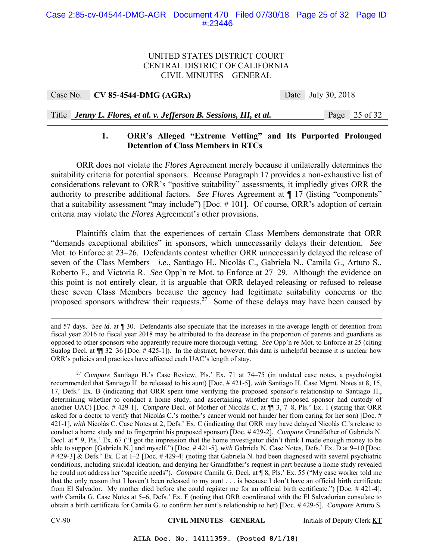### UNITED STATES DISTRICT COURT CENTRAL DISTRICT OF CALIFORNIA CIVIL MINUTES—GENERAL

|--|

## Title *Jenny L. Flores, et al. v. Jefferson B. Sessions, III, et al.* Page 25 of 32

## **1. ORR's Alleged "Extreme Vetting" and Its Purported Prolonged Detention of Class Members in RTCs**

 ORR does not violate the *Flores* Agreement merely because it unilaterally determines the suitability criteria for potential sponsors. Because Paragraph 17 provides a non-exhaustive list of considerations relevant to ORR's "positive suitability" assessments, it impliedly gives ORR the authority to prescribe additional factors. *See Flores* Agreement at ¶ 17 (listing "components" that a suitability assessment "may include") [Doc. # 101]. Of course, ORR's adoption of certain criteria may violate the *Flores* Agreement's other provisions.

 Plaintiffs claim that the experiences of certain Class Members demonstrate that ORR "demands exceptional abilities" in sponsors, which unnecessarily delays their detention. *See* Mot. to Enforce at 23–26. Defendants contest whether ORR unnecessarily delayed the release of seven of the Class Members—*i.e.*, Santiago H., Nicolàs C., Gabriela N., Camila G., Arturo S., Roberto F., and Victoria R. *See* Opp'n re Mot. to Enforce at 27–29. Although the evidence on this point is not entirely clear, it is arguable that ORR delayed releasing or refused to release these seven Class Members because the agency had legitimate suitability concerns or the proposed sponsors withdrew their requests.<sup>27</sup> Some of these delays may have been caused by

and 57 days. *See id.* at ¶ 30. Defendants also speculate that the increases in the average length of detention from fiscal year 2016 to fiscal year 2018 may be attributed to the decrease in the proportion of parents and guardians as opposed to other sponsors who apparently require more thorough vetting. *See* Opp'n re Mot. to Enforce at 25 (citing Sualog Decl. at  $\P$  32–36 [Doc. #425-1]). In the abstract, however, this data is unhelpful because it is unclear how ORR's policies and practices have affected each UAC's length of stay.

<sup>27</sup> *Compare* Santiago H.'s Case Review, Pls.' Ex. 71 at 74–75 (in undated case notes, a psychologist recommended that Santiago H. be released to his aunt) [Doc. # 421-5], *with* Santiago H. Case Mgmt. Notes at 8, 15, 17, Defs.' Ex. B (indicating that ORR spent time verifying the proposed sponsor's relationship to Santiago H., determining whether to conduct a home study, and ascertaining whether the proposed sponsor had custody of another UAC) [Doc. # 429-1]. *Compare* Decl. of Mother of Nicolàs C. at ¶¶ 3, 7–8, Pls.' Ex. 1 (stating that ORR asked for a doctor to verify that Nicolàs C.'s mother's cancer would not hinder her from caring for her son) [Doc. # 421-1], *with* Nicolàs C. Case Notes at 2, Defs.' Ex. C (indicating that ORR may have delayed Nicolàs C.'s release to conduct a home study and to fingerprint his proposed sponsor) [Doc. # 429-2]. *Compare* Grandfather of Gabriela N. Decl. at ¶ 9, Pls.' Ex. 67 ("I got the impression that the home investigator didn't think I made enough money to be able to support [Gabriela N.] and myself.") [Doc. # 421-5], *with* Gabriela N. Case Notes, Defs.' Ex. D at 9–10 [Doc. # 429-3] & Defs.' Ex. E at 1–2 [Doc. # 429-4] (noting that Gabriela N. had been diagnosed with several psychiatric conditions, including suicidal ideation, and denying her Grandfather's request in part because a home study revealed he could not address her "specific needs"). *Compare* Camila G. Decl. at ¶ 8, Pls.' Ex. 55 ("My case worker told me that the only reason that I haven't been released to my aunt . . . is because I don't have an official birth certificate from El Salvador. My mother died before she could register me for an official birth certificate.") [Doc. # 421-4], *with* Camila G. Case Notes at 5–6, Defs.' Ex. F (noting that ORR coordinated with the El Salvadorian consulate to obtain a birth certificate for Camila G. to confirm her aunt's relationship to her) [Doc. # 429-5]. *Compare* Arturo S.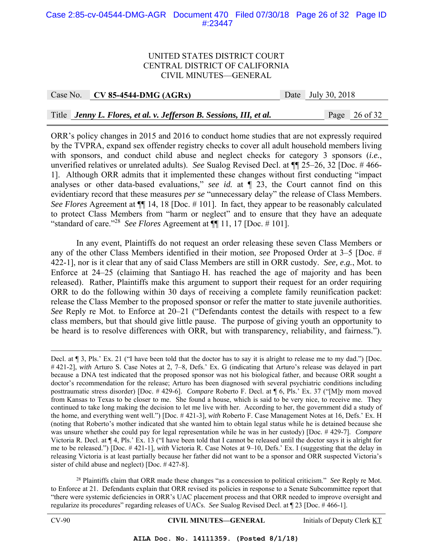#### Case 2:85-cv-04544-DMG-AGR Document 470 Filed 07/30/18 Page 26 of 32 Page ID #:23447

#### UNITED STATES DISTRICT COURT CENTRAL DISTRICT OF CALIFORNIA CIVIL MINUTES—GENERAL

Case No. **CV 85-4544-DMG (AGRx)** Date July 30, 2018

Title *Jenny L. Flores, et al. v. Jefferson B. Sessions, III, et al.* Page 26 of 32

ORR's policy changes in 2015 and 2016 to conduct home studies that are not expressly required by the TVPRA, expand sex offender registry checks to cover all adult household members living with sponsors, and conduct child abuse and neglect checks for category 3 sponsors (*i.e.*, unverified relatives or unrelated adults). *See* Sualog Revised Decl. at ¶¶ 25–26, 32 [Doc. # 466- 1]. Although ORR admits that it implemented these changes without first conducting "impact analyses or other data-based evaluations," *see id.* at ¶ 23, the Court cannot find on this evidentiary record that these measures *per se* "unnecessary delay" the release of Class Members. *See Flores* Agreement at ¶¶ 14, 18 [Doc. # 101]. In fact, they appear to be reasonably calculated to protect Class Members from "harm or neglect" and to ensure that they have an adequate "standard of care."<sup>28</sup> *See Flores* Agreement at  $\P$  11, 17 [Doc. #101].

In any event, Plaintiffs do not request an order releasing these seven Class Members or any of the other Class Members identified in their motion, *see* Proposed Order at 3–5 [Doc. # 422-1], nor is it clear that any of said Class Members are still in ORR custody. *See, e.g.*, Mot. to Enforce at 24–25 (claiming that Santiago H. has reached the age of majority and has been released). Rather, Plaintiffs make this argument to support their request for an order requiring ORR to do the following within 30 days of receiving a complete family reunification packet: release the Class Member to the proposed sponsor or refer the matter to state juvenile authorities. *See* Reply re Mot. to Enforce at 20–21 ("Defendants contest the details with respect to a few class members, but that should give little pause. The purpose of giving youth an opportunity to be heard is to resolve differences with ORR, but with transparency, reliability, and fairness.").

<sup>28</sup> Plaintiffs claim that ORR made these changes "as a concession to political criticism." *See* Reply re Mot. to Enforce at 21. Defendants explain that ORR revised its policies in response to a Senate Subcommittee report that "there were systemic deficiencies in ORR's UAC placement process and that ORR needed to improve oversight and regularize its procedures" regarding releases of UACs. *See* Sualog Revised Decl. at ¶ 23 [Doc. # 466-1].

CV-90 **CIVIL MINUTES—GENERAL** Initials of Deputy Clerk KT

Decl. at ¶ 3, Pls.' Ex. 21 ("I have been told that the doctor has to say it is alright to release me to my dad.") [Doc. # 421-2], *with* Arturo S. Case Notes at 2, 7–8, Defs.' Ex. G (indicating that Arturo's release was delayed in part because a DNA test indicated that the proposed sponsor was not his biological father, and because ORR sought a doctor's recommendation for the release; Arturo has been diagnosed with several psychiatric conditions including posttraumatic stress disorder) [Doc. # 429-6]. *Compare* Roberto F. Decl. at ¶ 6, Pls.' Ex. 37 ("[M]y mom moved from Kansas to Texas to be closer to me. She found a house, which is said to be very nice, to receive me. They continued to take long making the decision to let me live with her. According to her, the government did a study of the home, and everything went well.") [Doc. # 421-3], *with* Roberto F. Case Management Notes at 16, Defs.' Ex. H (noting that Roberto's mother indicated that she wanted him to obtain legal status while he is detained because she was unsure whether she could pay for legal representation while he was in her custody) [Doc. # 429-7]. *Compare*  Victoria R. Decl. at ¶ 4, Pls.' Ex. 13 ("I have been told that I cannot be released until the doctor says it is alright for me to be released.") [Doc. # 421-1], *with* Victoria R. Case Notes at 9–10, Defs.' Ex. I (suggesting that the delay in releasing Victoria is at least partially because her father did not want to be a sponsor and ORR suspected Victoria's sister of child abuse and neglect) [Doc. # 427-8].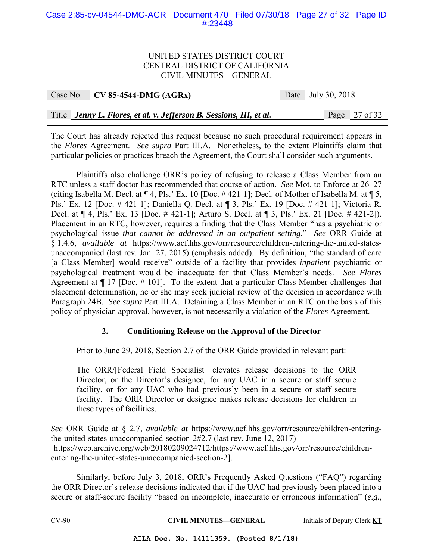#### Case 2:85-cv-04544-DMG-AGR Document 470 Filed 07/30/18 Page 27 of 32 Page ID #:23448

#### UNITED STATES DISTRICT COURT CENTRAL DISTRICT OF CALIFORNIA CIVIL MINUTES—GENERAL

| Case No. CV 85-4544-DMG $(AGRx)$                                    | Date July 30, 2018 |                 |  |
|---------------------------------------------------------------------|--------------------|-----------------|--|
|                                                                     |                    |                 |  |
| Title Jenny L. Flores, et al. v. Jefferson B. Sessions, III, et al. |                    | Page $27$ of 32 |  |

The Court has already rejected this request because no such procedural requirement appears in the *Flores* Agreement. *See supra* Part III.A. Nonetheless, to the extent Plaintiffs claim that particular policies or practices breach the Agreement, the Court shall consider such arguments.

 Plaintiffs also challenge ORR's policy of refusing to release a Class Member from an RTC unless a staff doctor has recommended that course of action. *See* Mot. to Enforce at 26–27 (citing Isabella M. Decl. at ¶ 4, Pls.' Ex. 10 [Doc. # 421-1]; Decl. of Mother of Isabella M. at ¶ 5, Pls.' Ex. 12 [Doc. # 421-1]; Daniella Q. Decl. at ¶ 3, Pls.' Ex. 19 [Doc. # 421-1]; Victoria R. Decl. at ¶ 4, Pls.' Ex. 13 [Doc. # 421-1]; Arturo S. Decl. at ¶ 3, Pls.' Ex. 21 [Doc. # 421-2]). Placement in an RTC, however, requires a finding that the Class Member "has a psychiatric or psychological issue *that cannot be addressed in an outpatient setting*." *See* ORR Guide at § 1.4.6, *available at* https://www.acf.hhs.gov/orr/resource/children-entering-the-united-statesunaccompanied (last rev. Jan. 27, 2015) (emphasis added). By definition, "the standard of care [a Class Member] would receive" outside of a facility that provides *inpatient* psychiatric or psychological treatment would be inadequate for that Class Member's needs. *See Flores* Agreement at  $\P$  17 [Doc.  $\#$  101]. To the extent that a particular Class Member challenges that placement determination, he or she may seek judicial review of the decision in accordance with Paragraph 24B. *See supra* Part III.A. Detaining a Class Member in an RTC on the basis of this policy of physician approval, however, is not necessarily a violation of the *Flores* Agreement.

## **2. Conditioning Release on the Approval of the Director**

Prior to June 29, 2018, Section 2.7 of the ORR Guide provided in relevant part:

The ORR/[Federal Field Specialist] elevates release decisions to the ORR Director, or the Director's designee, for any UAC in a secure or staff secure facility, or for any UAC who had previously been in a secure or staff secure facility. The ORR Director or designee makes release decisions for children in these types of facilities.

*See* ORR Guide at § 2.7, *available at* https://www.acf.hhs.gov/orr/resource/children-enteringthe-united-states-unaccompanied-section-2#2.7 (last rev. June 12, 2017) [https://web.archive.org/web/20180209024712/https://www.acf.hhs.gov/orr/resource/childrenentering-the-united-states-unaccompanied-section-2].

Similarly, before July 3, 2018, ORR's Frequently Asked Questions ("FAQ") regarding the ORR Director's release decisions indicated that if the UAC had previously been placed into a secure or staff-secure facility "based on incomplete, inaccurate or erroneous information" (*e.g.*,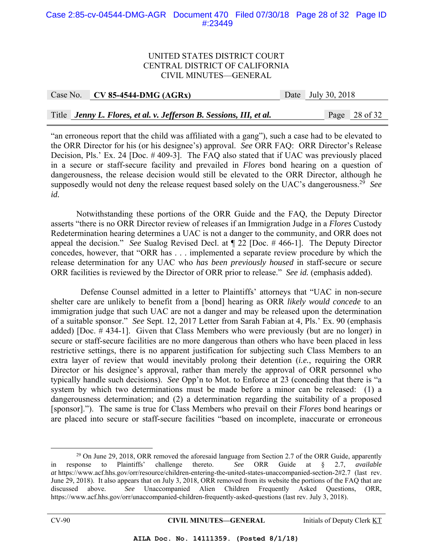#### Case 2:85-cv-04544-DMG-AGR Document 470 Filed 07/30/18 Page 28 of 32 Page ID #:23449

#### UNITED STATES DISTRICT COURT CENTRAL DISTRICT OF CALIFORNIA CIVIL MINUTES—GENERAL

|  | Case No. CV 85-4544-DMG $(AGRx)$                                    |  | Date July 30, 2018 |  |                          |
|--|---------------------------------------------------------------------|--|--------------------|--|--------------------------|
|  |                                                                     |  |                    |  |                          |
|  | Title Jenny L. Flores, et al. v. Jefferson B. Sessions, III, et al. |  |                    |  | Page $28 \text{ of } 32$ |

"an erroneous report that the child was affiliated with a gang"), such a case had to be elevated to the ORR Director for his (or his designee's) approval. *See* ORR FAQ: ORR Director's Release Decision, Pls.' Ex. 24 [Doc. # 409-3]. The FAQ also stated that if UAC was previously placed in a secure or staff-secure facility and prevailed in *Flores* bond hearing on a question of dangerousness, the release decision would still be elevated to the ORR Director, although he supposedly would not deny the release request based solely on the UAC's dangerousness.29 *See id.*

 Notwithstanding these portions of the ORR Guide and the FAQ, the Deputy Director asserts "there is no ORR Director review of releases if an Immigration Judge in a *Flores* Custody Redetermination hearing determines a UAC is not a danger to the community, and ORR does not appeal the decision." *See* Sualog Revised Decl. at ¶ 22 [Doc. # 466-1]. The Deputy Director concedes, however, that "ORR has . . . implemented a separate review procedure by which the release determination for any UAC who *has been previously housed* in staff-secure or secure ORR facilities is reviewed by the Director of ORR prior to release." *See id.* (emphasis added).

 Defense Counsel admitted in a letter to Plaintiffs' attorneys that "UAC in non-secure shelter care are unlikely to benefit from a [bond] hearing as ORR *likely would concede* to an immigration judge that such UAC are not a danger and may be released upon the determination of a suitable sponsor." *See* Sept. 12, 2017 Letter from Sarah Fabian at 4, Pls.' Ex. 90 (emphasis added) [Doc. # 434-1]. Given that Class Members who were previously (but are no longer) in secure or staff-secure facilities are no more dangerous than others who have been placed in less restrictive settings, there is no apparent justification for subjecting such Class Members to an extra layer of review that would inevitably prolong their detention (*i.e.*, requiring the ORR Director or his designee's approval, rather than merely the approval of ORR personnel who typically handle such decisions). *See* Opp'n to Mot. to Enforce at 23 (conceding that there is "a system by which two determinations must be made before a minor can be released: (1) a dangerousness determination; and (2) a determination regarding the suitability of a proposed [sponsor]."). The same is true for Class Members who prevail on their *Flores* bond hearings or are placed into secure or staff-secure facilities "based on incomplete, inaccurate or erroneous

 $^{29}$  On June 29, 2018, ORR removed the aforesaid language from Section 2.7 of the ORR Guide, apparently in response to Plaintiffs' challenge thereto. *See* ORR Guide at § 2.7, *available at* https://www.acf.hhs.gov/orr/resource/children-entering-the-united-states-unaccompanied-section-2#2.7 (last rev. June 29, 2018). It also appears that on July 3, 2018, ORR removed from its website the portions of the FAQ that are discussed above. *See* Unaccompanied Alien Children Frequently Asked Questions, ORR, https://www.acf.hhs.gov/orr/unaccompanied-children-frequently-asked-questions (last rev. July 3, 2018).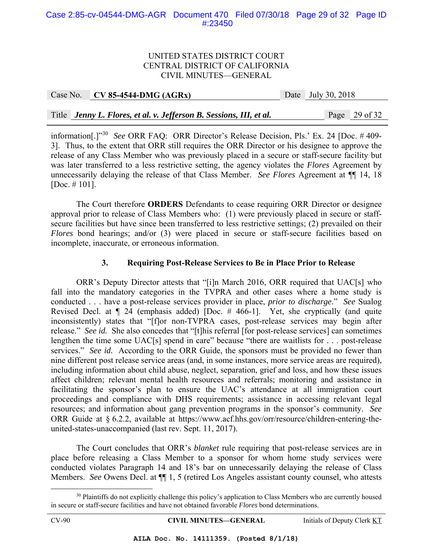#### Case 2:85-cv-04544-DMG-AGR Document 470 Filed 07/30/18 Page 29 of 32 Page ID #:23450

#### UNITED STATES DISTRICT COURT CENTRAL DISTRICT OF CALIFORNIA CIVIL MINUTES—GENERAL

| Case No. | $C_{\rm V}$ S5-4544-DMG (AGRx)                                      | Date July 30, 2018 |                 |
|----------|---------------------------------------------------------------------|--------------------|-----------------|
|          |                                                                     |                    |                 |
|          | Title Jenny L. Flores, et al. v. Jefferson B. Sessions, III, et al. |                    | Page $29$ of 32 |

information[.]"30 *See* ORR FAQ: ORR Director's Release Decision, Pls.' Ex. 24 [Doc. # 409- 3]. Thus, to the extent that ORR still requires the ORR Director or his designee to approve the release of any Class Member who was previously placed in a secure or staff-secure facility but was later transferred to a less restrictive setting, the agency violates the *Flores* Agreement by unnecessarily delaying the release of that Class Member. *See Flores* Agreement at ¶¶ 14, 18 [Doc. # 101].

The Court therefore **ORDERS** Defendants to cease requiring ORR Director or designee approval prior to release of Class Members who: (1) were previously placed in secure or staffsecure facilities but have since been transferred to less restrictive settings; (2) prevailed on their *Flores* bond hearings; and/or (3) were placed in secure or staff-secure facilities based on incomplete, inaccurate, or erroneous information.

## **3. Requiring Post-Release Services to Be in Place Prior to Release**

 ORR's Deputy Director attests that "[i]n March 2016, ORR required that UAC[s] who fall into the mandatory categories in the TVPRA and other cases where a home study is conducted . . . have a post-release services provider in place, *prior to discharge*." *See* Sualog Revised Decl. at ¶ 24 (emphasis added) [Doc. # 466-1]. Yet, she cryptically (and quite inconsistently) states that "[f]or non-TVPRA cases, post-release services may begin after release." *See id.* She also concedes that "[t]his referral [for post-release services] can sometimes lengthen the time some UAC[s] spend in care" because "there are waitlists for . . . post-release services." *See id.* According to the ORR Guide, the sponsors must be provided no fewer than nine different post release service areas (and, in some instances, more service areas are required), including information about child abuse, neglect, separation, grief and loss, and how these issues affect children; relevant mental health resources and referrals; monitoring and assistance in facilitating the sponsor's plan to ensure the UAC's attendance at all immigration court proceedings and compliance with DHS requirements; assistance in accessing relevant legal resources; and information about gang prevention programs in the sponsor's community. *See* ORR Guide at § 6.2.2, available at https://www.acf.hhs.gov/orr/resource/children-entering-theunited-states-unaccompanied (last rev. Sept. 11, 2017).

The Court concludes that ORR's *blanket* rule requiring that post-release services are in place before releasing a Class Member to a sponsor for whom home study services were conducted violates Paragraph 14 and 18's bar on unnecessarily delaying the release of Class Members. *See* Owens Decl. at ¶¶ 1, 5 (retired Los Angeles assistant county counsel, who attests

CV-90 **CIVIL MINUTES—GENERAL** Initials of Deputy Clerk KT

<sup>&</sup>lt;sup>30</sup> Plaintiffs do not explicitly challenge this policy's application to Class Members who are currently housed in secure or staff-secure facilities and have not obtained favorable *Flores* bond determinations.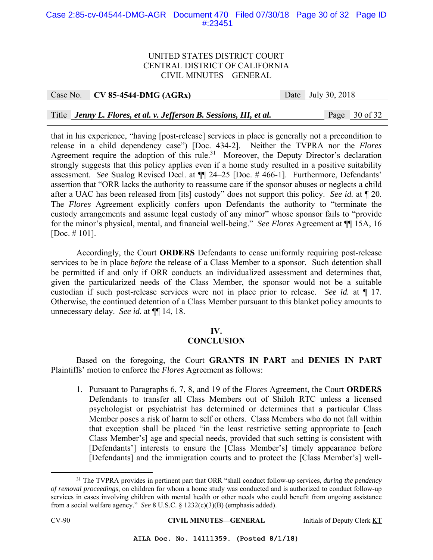#### Case 2:85-cv-04544-DMG-AGR Document 470 Filed 07/30/18 Page 30 of 32 Page ID #:23451

#### UNITED STATES DISTRICT COURT CENTRAL DISTRICT OF CALIFORNIA CIVIL MINUTES—GENERAL

#### Case No. **CV 85-4544-DMG (AGRx)** Date July 30, 2018

Title *Jenny L. Flores, et al. v. Jefferson B. Sessions, III, et al.* Page 30 of 32

that in his experience, "having [post-release] services in place is generally not a precondition to release in a child dependency case") [Doc. 434-2]. Neither the TVPRA nor the *Flores*  Agreement require the adoption of this rule.<sup>31</sup> Moreover, the Deputy Director's declaration strongly suggests that this policy applies even if a home study resulted in a positive suitability assessment. *See* Sualog Revised Decl. at ¶¶ 24–25 [Doc. # 466-1]. Furthermore, Defendants' assertion that "ORR lacks the authority to reassume care if the sponsor abuses or neglects a child after a UAC has been released from [its] custody" does not support this policy. *See id.* at ¶ 20. The *Flores* Agreement explicitly confers upon Defendants the authority to "terminate the custody arrangements and assume legal custody of any minor" whose sponsor fails to "provide for the minor's physical, mental, and financial well-being." *See Flores* Agreement at ¶¶ 15A, 16 [Doc. # 101].

 Accordingly, the Court **ORDERS** Defendants to cease uniformly requiring post-release services to be in place *before* the release of a Class Member to a sponsor. Such detention shall be permitted if and only if ORR conducts an individualized assessment and determines that, given the particularized needs of the Class Member, the sponsor would not be a suitable custodian if such post-release services were not in place prior to release. *See id.* at ¶ 17. Otherwise, the continued detention of a Class Member pursuant to this blanket policy amounts to unnecessary delay. *See id.* at ¶¶ 14, 18.

#### **IV.**

#### **CONCLUSION**

 Based on the foregoing, the Court **GRANTS IN PART** and **DENIES IN PART** Plaintiffs' motion to enforce the *Flores* Agreement as follows:

1. Pursuant to Paragraphs 6, 7, 8, and 19 of the *Flores* Agreement, the Court **ORDERS** Defendants to transfer all Class Members out of Shiloh RTC unless a licensed psychologist or psychiatrist has determined or determines that a particular Class Member poses a risk of harm to self or others. Class Members who do not fall within that exception shall be placed "in the least restrictive setting appropriate to [each Class Member's] age and special needs, provided that such setting is consistent with [Defendants'] interests to ensure the [Class Member's] timely appearance before [Defendants] and the immigration courts and to protect the [Class Member's] well-

CV-90 **CIVIL MINUTES—GENERAL** Initials of Deputy Clerk KT

 <sup>31</sup> The TVPRA provides in pertinent part that ORR "shall conduct follow-up services, *during the pendency of removal proceedings*, on children for whom a home study was conducted and is authorized to conduct follow-up services in cases involving children with mental health or other needs who could benefit from ongoing assistance from a social welfare agency." *See* 8 U.S.C. § 1232(c)(3)(B) (emphasis added).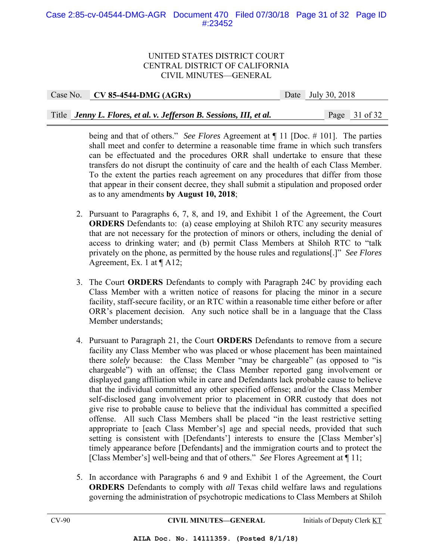### Case 2:85-cv-04544-DMG-AGR Document 470 Filed 07/30/18 Page 31 of 32 Page ID #:23452

#### UNITED STATES DISTRICT COURT CENTRAL DISTRICT OF CALIFORNIA CIVIL MINUTES—GENERAL

Case No. **CV 85-4544-DMG (AGRx)** Date July 30, 2018 Title *Jenny L. Flores, et al. v. Jefferson B. Sessions, III, et al.* Page 31 of 32

> being and that of others." *See Flores* Agreement at ¶ 11 [Doc. # 101]. The parties shall meet and confer to determine a reasonable time frame in which such transfers can be effectuated and the procedures ORR shall undertake to ensure that these transfers do not disrupt the continuity of care and the health of each Class Member. To the extent the parties reach agreement on any procedures that differ from those that appear in their consent decree, they shall submit a stipulation and proposed order as to any amendments **by August 10, 2018**;

- 2. Pursuant to Paragraphs 6, 7, 8, and 19, and Exhibit 1 of the Agreement, the Court **ORDERS** Defendants to: (a) cease employing at Shiloh RTC any security measures that are not necessary for the protection of minors or others, including the denial of access to drinking water; and (b) permit Class Members at Shiloh RTC to "talk privately on the phone, as permitted by the house rules and regulations[.]" *See Flores* Agreement, Ex. 1 at ¶ A12;
- 3. The Court **ORDERS** Defendants to comply with Paragraph 24C by providing each Class Member with a written notice of reasons for placing the minor in a secure facility, staff-secure facility, or an RTC within a reasonable time either before or after ORR's placement decision. Any such notice shall be in a language that the Class Member understands;
- 4. Pursuant to Paragraph 21, the Court **ORDERS** Defendants to remove from a secure facility any Class Member who was placed or whose placement has been maintained there *solely* because: the Class Member "may be chargeable" (as opposed to "is chargeable") with an offense; the Class Member reported gang involvement or displayed gang affiliation while in care and Defendants lack probable cause to believe that the individual committed any other specified offense; and/or the Class Member self-disclosed gang involvement prior to placement in ORR custody that does not give rise to probable cause to believe that the individual has committed a specified offense. All such Class Members shall be placed "in the least restrictive setting appropriate to [each Class Member's] age and special needs, provided that such setting is consistent with [Defendants'] interests to ensure the [Class Member's] timely appearance before [Defendants] and the immigration courts and to protect the [Class Member's] well-being and that of others." *See* Flores Agreement at ¶ 11;
- 5. In accordance with Paragraphs 6 and 9 and Exhibit 1 of the Agreement, the Court **ORDERS** Defendants to comply with *all* Texas child welfare laws and regulations governing the administration of psychotropic medications to Class Members at Shiloh